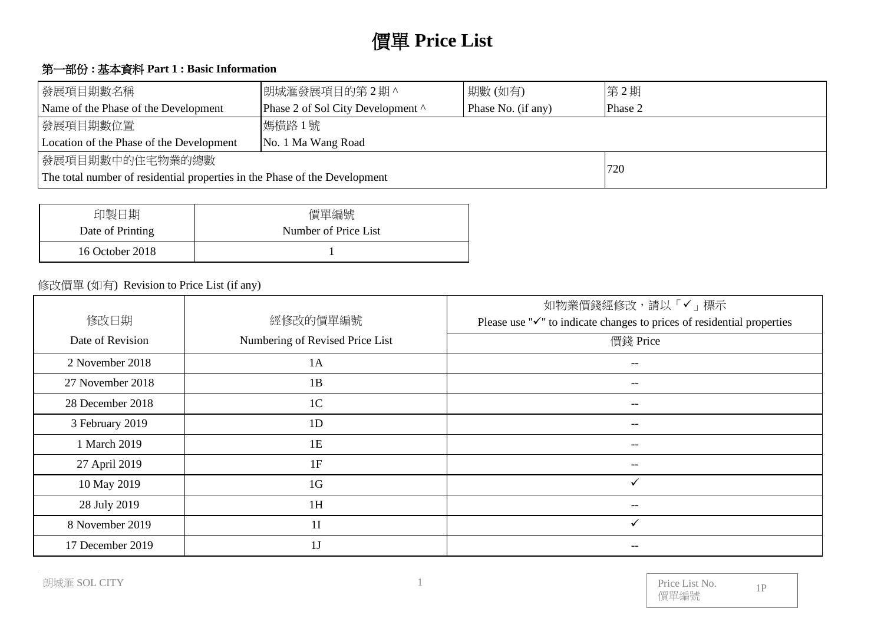# 價單 **Price List**

# 第一部份 **:** 基本資料 **Part 1 : Basic Information**

| 發展項目期數名稱                                                                   | 朗城滙發展項目的第2期^                      | 期數(如有)  | 第2期 |
|----------------------------------------------------------------------------|-----------------------------------|---------|-----|
| Name of the Phase of the Development                                       | Phase 2 of Sol City Development ^ | Phase 2 |     |
| 發展項目期數位置                                                                   |                                   |         |     |
| Location of the Phase of the Development<br>No. 1 Ma Wang Road             |                                   |         |     |
| 發展項目期數中的住宅物業的總數                                                            |                                   | 720     |     |
| The total number of residential properties in the Phase of the Development |                                   |         |     |

| 印製日期             | 價單編號                 |
|------------------|----------------------|
| Date of Printing | Number of Price List |
| 16 October 2018  |                      |

### 修改價單 (如有) Revision to Price List (if any)

|                  |                                 | 如物業價錢經修改,請以「✔」標示                                                                    |
|------------------|---------------------------------|-------------------------------------------------------------------------------------|
| 修改日期             | 經修改的價單編號                        | Please use " $\checkmark$ " to indicate changes to prices of residential properties |
| Date of Revision | Numbering of Revised Price List | 價錢 Price                                                                            |
| 2 November 2018  | 1A                              | $- -$                                                                               |
| 27 November 2018 | 1B                              | $- -$                                                                               |
| 28 December 2018 | 1 <sup>C</sup>                  | --                                                                                  |
| 3 February 2019  | 1D                              |                                                                                     |
| 1 March 2019     | 1E                              |                                                                                     |
| 27 April 2019    | 1F                              | --                                                                                  |
| 10 May 2019      | 1 <sub>G</sub>                  | ✓                                                                                   |
| 28 July 2019     | 1H                              | --                                                                                  |
| 8 November 2019  | 1 <sub>I</sub>                  |                                                                                     |
| 17 December 2019 | 1 <sub>J</sub>                  |                                                                                     |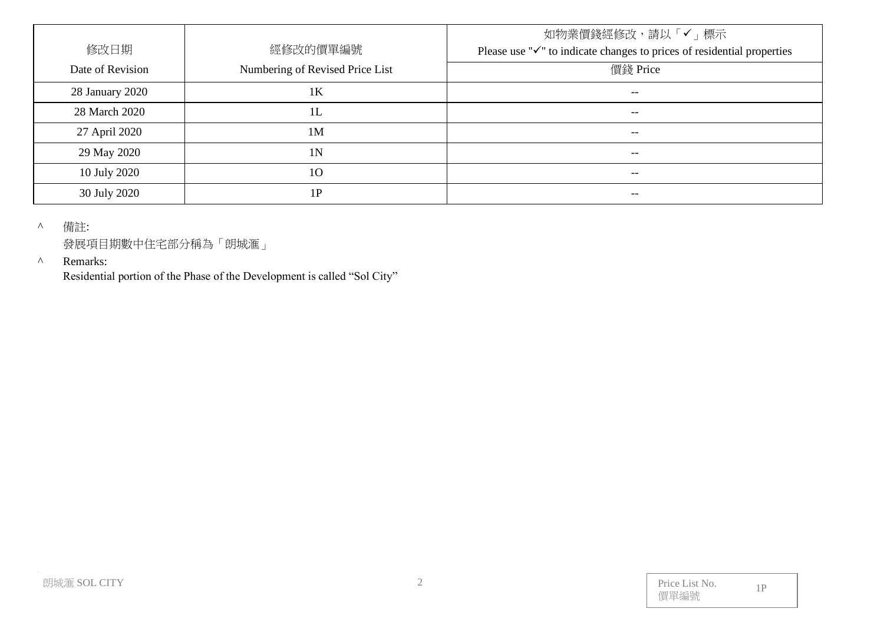| 修改日期             | 經修改的價單編號                        | 如物業價錢經修改,請以「✔」標示<br>Please use " $\checkmark$ " to indicate changes to prices of residential properties |
|------------------|---------------------------------|---------------------------------------------------------------------------------------------------------|
| Date of Revision | Numbering of Revised Price List | 價錢 Price                                                                                                |
| 28 January 2020  | 1K                              | $- -$                                                                                                   |
| 28 March 2020    | 1L                              | $- -$                                                                                                   |
| 27 April 2020    | 1M                              | $- -$                                                                                                   |
| 29 May 2020      | 1N                              | $- -$                                                                                                   |
| 10 July 2020     | 10                              | $- -$                                                                                                   |
| 30 July 2020     | $\mathbf{P}$                    |                                                                                                         |

^ 備註:

發展項目期數中住宅部分稱為「朗城滙」

#### ^ Remarks:

Residential portion of the Phase of the Development is called "Sol City"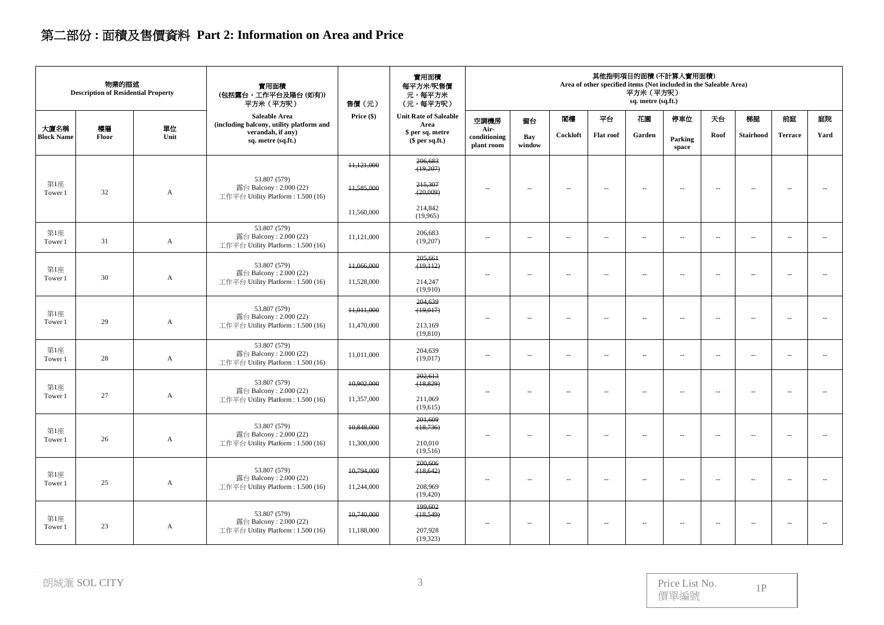# 第二部份 **:** 面積及售價資料 **Part 2: Information on Area and Price**

|                           | 物業的描述<br><b>Description of Residential Property</b> |                           | 實用面積<br>(包括露台,工作平台及陽台(如有))<br>平方米 (平方呎)                                     | 售價(元)        | 實用面積<br>每平方米/呎售價<br>元,每平方米<br>(元,每平方呎) |                                    |                          |                          |                          | 平方米 (平方呎)<br>sq. metre (sq.ft.) | 其他指明項目的面積(不計算入實用面積)<br>Area of other specified items (Not included in the Saleable Area) |                          |                          |                          |                          |
|---------------------------|-----------------------------------------------------|---------------------------|-----------------------------------------------------------------------------|--------------|----------------------------------------|------------------------------------|--------------------------|--------------------------|--------------------------|---------------------------------|------------------------------------------------------------------------------------------|--------------------------|--------------------------|--------------------------|--------------------------|
|                           |                                                     |                           | Saleable Area<br>(including balcony, utility platform and                   | Price $(\$)$ | <b>Unit Rate of Saleable</b><br>Area   | 空調機房                               | 窗台                       | 閣樓                       | 平台                       | 花園                              | 停車位                                                                                      | 天台                       | 梯屋                       | 前庭                       | 庭院                       |
| 大廈名稱<br><b>Block Name</b> | 樓層<br>Floor                                         | 單位<br>Unit                | verandah, if any)<br>sq. metre (sq.ft.)                                     |              | \$ per sq. metre<br>\$per sq.ft.)      | Air-<br>conditioning<br>plant room | Bay<br>window            | Cockloft                 | <b>Flat roof</b>         | Garden                          | Parking<br>space                                                                         | Roof                     | <b>Stairhood</b>         | <b>Terrace</b>           | Yard                     |
|                           |                                                     |                           |                                                                             | 11,121,000   | 206,683<br>(19,207)                    |                                    |                          |                          |                          |                                 |                                                                                          |                          |                          |                          |                          |
| 第1座<br>Tower 1            | 32                                                  | A                         | 53.807 (579)<br>露台 Balcony: 2.000 (22)<br>工作平台 Utility Platform: 1.500 (16) | 11,585,000   | 215,307<br>(20,009)                    | $\overline{\phantom{a}}$           | $\sim$                   | $\sim$                   | $\sim$                   | $\overline{\phantom{a}}$        | $\sim$                                                                                   | $\sim$                   | $\sim$                   | $\sim$ $\sim$            | ц,                       |
|                           |                                                     |                           |                                                                             | 11,560,000   | 214,842<br>(19,965)                    |                                    |                          |                          |                          |                                 |                                                                                          |                          |                          |                          |                          |
| 第1座<br>Tower 1            | 31                                                  | A                         | 53.807 (579)<br>露台 Balcony: 2.000 (22)<br>工作平台 Utility Platform: 1.500 (16) | 11,121,000   | 206,683<br>(19,207)                    | $\overline{\phantom{a}}$           | $\overline{\phantom{a}}$ | $\overline{\phantom{a}}$ | $\sim$                   | $\overline{\phantom{a}}$        | $\overline{\phantom{a}}$                                                                 | $\sim$                   | $\overline{\phantom{a}}$ | $\overline{\phantom{a}}$ | $\sim$                   |
| 第1座<br>Tower 1            | 30                                                  | A                         | 53.807 (579)<br>露台 Balcony: 2.000 (22)                                      | 11,066,000   | 205,661<br>(19,112)                    | $\sim$                             | 4                        | $\sim$                   | $\sim$                   | $\sim$                          | $\overline{\phantom{a}}$                                                                 | $\overline{\phantom{a}}$ | $\overline{\phantom{a}}$ | $\overline{\phantom{a}}$ | $\overline{a}$           |
|                           |                                                     |                           | 工作平台 Utility Platform: 1.500 (16)                                           | 11,528,000   | 214,247<br>(19,910)                    |                                    |                          |                          |                          |                                 |                                                                                          |                          |                          |                          |                          |
| 第1座                       |                                                     |                           | 53.807 (579)<br>露台 Balcony: 2.000 (22)                                      | 11,011,000   | 204,639<br>(19,017)                    | $\overline{\phantom{a}}$           | $\overline{\phantom{a}}$ | $\overline{\phantom{a}}$ | $\overline{\phantom{a}}$ | $\overline{\phantom{a}}$        | $\overline{\phantom{a}}$                                                                 | $\ddotsc$                | $\overline{\phantom{a}}$ | $\sim$                   | $\overline{\phantom{a}}$ |
| Tower 1                   | 29                                                  | $\boldsymbol{\mathsf{A}}$ | 工作平台 Utility Platform: 1.500 (16)                                           | 11,470,000   | 213,169<br>(19, 810)                   |                                    |                          |                          |                          |                                 |                                                                                          |                          |                          |                          |                          |
| 第1座<br>Tower 1            | 28                                                  | A                         | 53.807 (579)<br>露台 Balcony: 2.000 (22)<br>工作平台 Utility Platform: 1.500 (16) | 11,011,000   | 204,639<br>(19,017)                    | $\overline{\phantom{a}}$           | $\sim$                   | $\sim$                   | $\sim$                   | $\overline{\phantom{a}}$        | $\mathcal{L}_{\mathcal{A}}$                                                              | $\overline{\phantom{a}}$ | $\overline{\phantom{a}}$ | $\overline{a}$           | $\overline{\phantom{a}}$ |
| 第1座                       |                                                     |                           | 53.807 (579)                                                                | 10,902,000   | 202,613<br>(18, 829)                   |                                    |                          |                          |                          |                                 |                                                                                          |                          |                          |                          |                          |
| Tower 1                   | 27                                                  | $\mathbf{A}$              | 露台 Balcony: 2.000 (22)<br>工作平台 Utility Platform: 1.500 (16)                 | 11,357,000   | 211,069<br>(19,615)                    | $\sim$                             | $\sim$                   | $\sim$                   | $\sim$                   | $\sim$                          | $\sim$                                                                                   | $\sim$                   | $\sim$                   | $\sim$                   | $\sim$                   |
| 第1座                       |                                                     |                           | 53.807 (579)<br>露台 Balcony: 2.000 (22)                                      | 10.848,000   | 201,609<br>(18,736)                    | $\overline{\phantom{a}}$           | $\sim$                   | $\overline{\phantom{a}}$ | $\overline{\phantom{a}}$ | $\overline{\phantom{a}}$        | $\overline{\phantom{a}}$                                                                 | $\overline{\phantom{a}}$ | $\overline{\phantom{a}}$ | $\overline{\phantom{a}}$ | $\overline{\phantom{a}}$ |
| Tower 1                   | 26                                                  | $\mathbf{A}$              | 工作平台 Utility Platform: 1.500 (16)                                           | 11,300,000   | 210,010<br>(19,516)                    |                                    |                          |                          |                          |                                 |                                                                                          |                          |                          |                          |                          |
| 第1座                       |                                                     |                           | 53.807 (579)<br>露台 Balcony: 2.000 (22)                                      | 10,794,000   | 200,606<br>(18, 642)                   |                                    |                          |                          |                          |                                 |                                                                                          |                          |                          |                          |                          |
| Tower 1                   | 25                                                  | $\mathbf{A}$              | 工作平台 Utility Platform: 1.500 (16)                                           | 11,244,000   | 208,969<br>(19, 420)                   | $\sim$                             | $\sim$                   | $\sim$                   | $\sim$ $-$               | $\mathbf{u}$                    | $\sim$                                                                                   | $\overline{\phantom{a}}$ | $\sim$                   | $\sim$ $\sim$            | $\sim$                   |
| 第1座                       |                                                     |                           | 53.807 (579)<br>露台 Balcony: 2.000 (22)                                      | 10,740,000   | 199,602<br>(18, 549)                   |                                    |                          |                          |                          |                                 |                                                                                          |                          |                          |                          |                          |
| Tower 1                   | 23                                                  | A                         | 工作平台 Utility Platform: 1.500 (16)                                           | 11,188,000   | 207,928<br>(19,323)                    | $\overline{\phantom{a}}$           | $\sim$                   | $\sim$                   | $\sim$                   | $\overline{\phantom{a}}$        | $\overline{\phantom{a}}$                                                                 | $\sim$                   | $\overline{\phantom{a}}$ | $\overline{\phantom{a}}$ | $\overline{\phantom{a}}$ |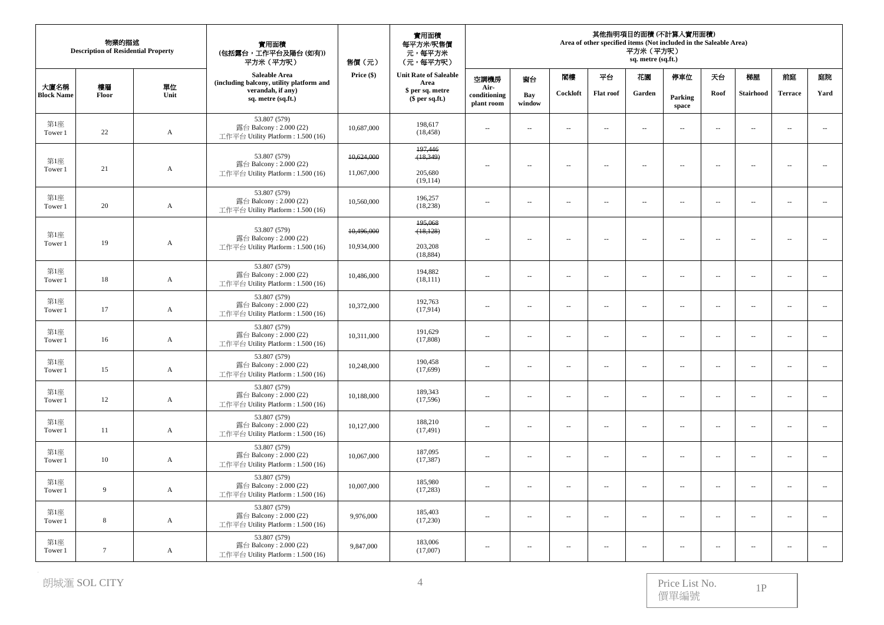|                           | 物業的描述<br><b>Description of Residential Property</b> |              | 實用面積<br>(包括露台,工作平台及陽台(如有))<br>平方米 (平方呎)<br>售價(元)                            |              | 實用面積<br>每平方米/呎售價<br>元,每平方米<br>(元,每平方呎) | 其他指明項目的面積 (不計算入實用面積)<br>Area of other specified items (Not included in the Saleable Area)<br>平方米 (平方呎)<br>sq. metre (sq.ft.) |                          |                          |                          |                          |                          |                             |                          |                          |                          |
|---------------------------|-----------------------------------------------------|--------------|-----------------------------------------------------------------------------|--------------|----------------------------------------|------------------------------------------------------------------------------------------------------------------------------|--------------------------|--------------------------|--------------------------|--------------------------|--------------------------|-----------------------------|--------------------------|--------------------------|--------------------------|
|                           |                                                     |              | Saleable Area<br>(including balcony, utility platform and                   | Price $(\$)$ | <b>Unit Rate of Saleable</b><br>Area   | 空調機房                                                                                                                         | 窗台                       | 閣樓                       | 平台                       | 花園                       | 停車位                      | 天台                          | 梯屋                       | 前庭                       | 庭院                       |
| 大廈名稱<br><b>Block Name</b> | 樓層<br>Floor                                         | 單位<br>Unit   | verandah, if any)<br>sq. metre (sq.ft.)                                     |              | \$ per sq. metre<br>$$$ per sq.ft.)    | Air-<br>conditioning<br>plant room                                                                                           | <b>Bay</b><br>window     | Cockloft                 | <b>Flat roof</b>         | Garden                   | Parking<br>space         | Roof                        | <b>Stairhood</b>         | <b>Terrace</b>           | Yard                     |
| 第1座<br>Tower 1            | 22                                                  | $\mathbf{A}$ | 53.807 (579)<br>露台 Balcony: 2.000 (22)<br>工作平台 Utility Platform: 1.500 (16) | 10,687,000   | 198,617<br>(18, 458)                   | ÷.                                                                                                                           | ÷.                       | ÷.                       | $\sim$                   | $\overline{\phantom{a}}$ | $\sim$                   | $\ddot{\phantom{a}}$        | $\mathbf{L}$             | À.                       | $\sim$                   |
| 第1座                       |                                                     |              | 53.807 (579)<br>露台 Balcony: 2.000 (22)                                      | 10,624,000   | 197,446<br>(18, 349)                   | $\overline{a}$                                                                                                               | $\sim$                   | $\sim$                   | $\sim$                   | $\mathbf{u}$             | $\sim$                   | $\sim$                      | $\sim$                   | $\sim$                   | $\sim$                   |
| Tower 1                   | 21                                                  | A            | 工作平台 Utility Platform: 1.500 (16)                                           | 11,067,000   | 205,680<br>(19, 114)                   |                                                                                                                              |                          |                          |                          |                          |                          |                             |                          |                          |                          |
| 第1座<br>Tower 1            | 20                                                  | A            | 53.807 (579)<br>露台 Balcony: 2.000 (22)<br>工作平台 Utility Platform: 1.500 (16) | 10,560,000   | 196,257<br>(18, 238)                   | μ.                                                                                                                           | $\sim$                   | $\sim$                   | $\sim$                   | $\overline{\phantom{a}}$ | Ξ.                       | $\sim$                      | $\sim$                   | $\overline{\phantom{a}}$ | u.                       |
| 第1座                       |                                                     |              | 53.807 (579)<br>露台 Balcony: 2.000 (22)                                      | 10,496,000   | 195,068<br>(18, 128)                   | $\overline{\phantom{a}}$                                                                                                     | $\sim$                   | $\sim$                   | $\sim$                   | $\overline{\phantom{a}}$ | $\sim$                   | $\overline{\phantom{a}}$    | $\overline{\phantom{a}}$ | $\sim$                   | $\sim$                   |
| Tower 1                   | 19                                                  | A            | 工作平台 Utility Platform: 1.500 (16)                                           | 10.934,000   | 203,208<br>(18, 884)                   |                                                                                                                              |                          |                          |                          |                          |                          |                             |                          |                          |                          |
| 第1座<br>Tower 1            | 18                                                  | A            | 53.807 (579)<br>露台 Balcony: 2.000 (22)<br>工作平台 Utility Platform: 1.500 (16) | 10,486,000   | 194,882<br>(18, 111)                   | $\overline{\phantom{a}}$                                                                                                     | $\sim$                   | $\overline{\phantom{a}}$ | $\overline{\phantom{a}}$ | $\overline{\phantom{a}}$ | $\overline{a}$           | $\sim$                      | $\sim$                   | $\sim$                   | ÷.                       |
| 第1座<br>Tower 1            | 17                                                  | A            | 53.807 (579)<br>露台 Balcony: 2.000 (22)<br>工作平台 Utility Platform: 1.500 (16) | 10,372,000   | 192,763<br>(17,914)                    | $\overline{\phantom{a}}$                                                                                                     | $\overline{\phantom{a}}$ | $\ldots$                 | $\ldots$                 | $\overline{\phantom{a}}$ | $\overline{\phantom{a}}$ | $\overline{\phantom{a}}$    | $\ldots$                 | $\sim$                   |                          |
| 第1座<br>Tower 1            | 16                                                  | $\mathbf A$  | 53.807 (579)<br>露台 Balcony: 2.000 (22)<br>工作平台 Utility Platform: 1.500 (16) | 10,311,000   | 191,629<br>(17,808)                    | $\overline{\phantom{a}}$                                                                                                     | $\sim$                   | $\sim$                   | $\overline{\phantom{a}}$ | $\overline{\phantom{a}}$ | $\sim$                   | $\mathcal{L}_{\mathcal{A}}$ | $\overline{\phantom{a}}$ | $\sim$                   | $\sim$                   |
| 第1座<br>Tower 1            | 15                                                  | A            | 53.807 (579)<br>露台 Balcony: 2.000 (22)<br>工作平台 Utility Platform: 1.500 (16) | 10,248,000   | 190,458<br>(17,699)                    | $\sim$                                                                                                                       | $\sim$                   | $\sim$                   | $\sim$ $-$               | $\mathbf{u}$             | $\sim$                   | $\overline{\phantom{a}}$    | $\sim$                   | $\sim$                   | $\sim$                   |
| 第1座<br>Tower 1            | 12                                                  | $\mathbf{A}$ | 53.807 (579)<br>露台 Balcony: 2.000 (22)<br>工作平台 Utility Platform: 1.500 (16) | 10,188,000   | 189,343<br>(17,596)                    | $\sim$                                                                                                                       | $\sim$                   | $\overline{\phantom{a}}$ | $\overline{\phantom{a}}$ | $\overline{\phantom{a}}$ | $\overline{\phantom{a}}$ | $\overline{\phantom{a}}$    | $\sim$                   | $\sim$                   | $\overline{\phantom{a}}$ |
| 第1座<br>Tower 1            | 11                                                  | A            | 53.807 (579)<br>露台 Balcony: 2.000 (22)<br>工作平台 Utility Platform: 1.500 (16) | 10,127,000   | 188,210<br>(17, 491)                   | $\sim$                                                                                                                       | $\sim$                   | $\overline{\phantom{a}}$ | $\sim$                   | $\overline{\phantom{a}}$ | $\sim$                   | $\overline{\phantom{a}}$    | $\ldots$                 | $\sim$                   | $\overline{\phantom{a}}$ |
| 第1座<br>Tower 1            | 10                                                  | A            | 53.807 (579)<br>露台 Balcony: 2.000 (22)<br>工作平台 Utility Platform: 1.500 (16) | 10,067,000   | 187,095<br>(17, 387)                   | $\overline{\phantom{a}}$                                                                                                     | $\sim$                   | $\overline{\phantom{a}}$ | $\sim$                   | $\sim$                   | $\overline{\phantom{a}}$ | $\sim$                      | $\sim$                   | $\sim$                   | $\overline{\phantom{a}}$ |
| 第1座<br>Tower 1            | 9                                                   | A            | 53.807 (579)<br>露台 Balcony: 2.000 (22)<br>工作平台 Utility Platform: 1.500 (16) | 10,007,000   | 185,980<br>(17, 283)                   | $\sim$                                                                                                                       | $\sim$                   | $\sim$                   | $\sim$                   | $\overline{\phantom{a}}$ | $\sim$                   | $\overline{\phantom{a}}$    | $\sim$                   | $\sim$                   | $\overline{a}$           |
| 第1座<br>Tower 1            | 8                                                   | A            | 53.807 (579)<br>露台 Balcony: 2.000 (22)<br>工作平台 Utility Platform: 1.500 (16) | 9,976,000    | 185,403<br>(17,230)                    | $\sim$                                                                                                                       | $\sim$                   | $\sim$ $-$               | $\overline{a}$           | $\sim$                   | $\sim$                   | $\sim$                      | $\sim$                   | $\sim$ $\sim$            | $\sim$                   |
| 第1座<br>Tower 1            | $\overline{7}$                                      | A            | 53.807 (579)<br>露台 Balcony: 2.000 (22)<br>工作平台 Utility Platform: 1.500 (16) | 9,847,000    | 183,006<br>(17,007)                    | $\overline{\phantom{a}}$                                                                                                     | $\sim$                   | $\overline{\phantom{a}}$ | $\overline{\phantom{a}}$ | $\overline{\phantom{a}}$ | $\overline{\phantom{a}}$ | $\overline{\phantom{a}}$    | $\overline{\phantom{a}}$ | $\sim$                   | $\ddotsc$                |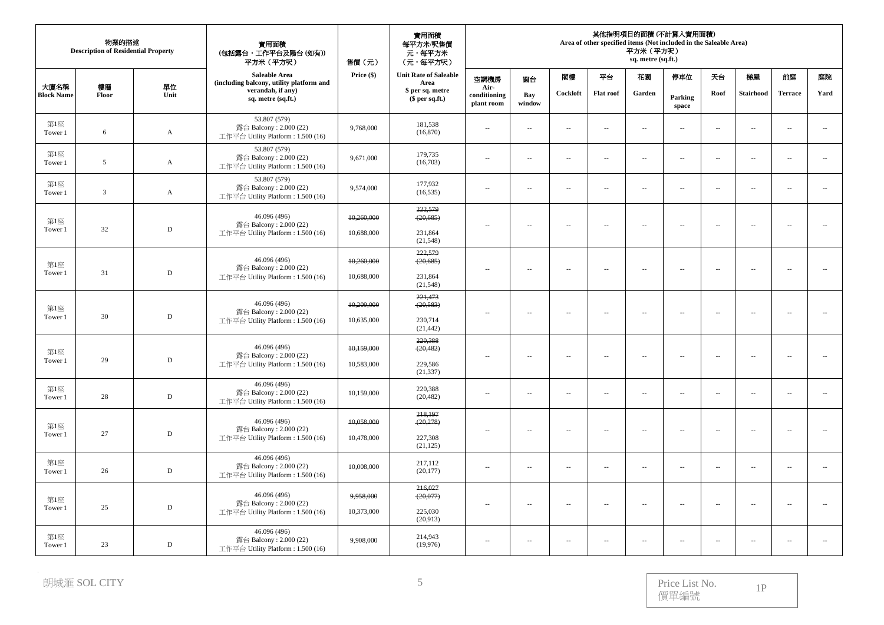|                           | 物業的描述<br><b>Description of Residential Property</b> |              | 實用面積<br>(包括露台,工作平台及陽台(如有))<br>平方米 (平方呎)                                     | 售價(元)      | 實用面積<br>每平方米/呎售價<br>元,每平方米<br>(元,每平方呎) |                                    |                          |                          |                          | 平方米 (平方呎)<br>sq. metre (sq.ft.) | 其他指明項目的面積 (不計算入實用面積)<br>Area of other specified items (Not included in the Saleable Area) |                          |                  |                          |                          |  |  |  |
|---------------------------|-----------------------------------------------------|--------------|-----------------------------------------------------------------------------|------------|----------------------------------------|------------------------------------|--------------------------|--------------------------|--------------------------|---------------------------------|-------------------------------------------------------------------------------------------|--------------------------|------------------|--------------------------|--------------------------|--|--|--|
|                           |                                                     |              | Saleable Area<br>(including balcony, utility platform and                   | Price (\$) | <b>Unit Rate of Saleable</b><br>Area   | 空調機房                               | 窗台                       | 閣樓                       | 平台                       | 花園                              | 停車位                                                                                       | 天台                       | 梯屋               | 前庭                       | 庭院                       |  |  |  |
| 大廈名稱<br><b>Block Name</b> | 樓層<br>Floor                                         | 單位<br>Unit   | verandah, if any)<br>sq. metre (sq.ft.)                                     |            | \$ per sq. metre<br>$$$ per sq.ft.)    | Air-<br>conditioning<br>plant room | Bay<br>window            | Cockloft                 | <b>Flat roof</b>         | Garden                          | Parking<br>space                                                                          | Roof                     | <b>Stairhood</b> | <b>Terrace</b>           | Yard                     |  |  |  |
| 第1座<br>Tower 1            | 6                                                   | $\mathbf{A}$ | 53.807 (579)<br>露台 Balcony: 2.000 (22)<br>工作平台 Utility Platform: 1.500 (16) | 9,768,000  | 181,538<br>(16, 870)                   | $\sim$                             | $\sim$                   | $\sim$                   | $\sim$                   | $\overline{\phantom{a}}$        | $\sim$                                                                                    | $\sim$                   | $\sim$           | $\sim$ $\sim$            | $\sim$                   |  |  |  |
| 第1座<br>Tower 1            | $\overline{5}$                                      | $\mathbf{A}$ | 53.807 (579)<br>露台 Balcony: 2.000 (22)<br>工作平台 Utility Platform: 1.500 (16) | 9,671,000  | 179,735<br>(16,703)                    | $\overline{\phantom{m}}$           | $\sim$                   | $\overline{a}$           | $\overline{\phantom{a}}$ | $\overline{\phantom{a}}$        | $\overline{\phantom{a}}$                                                                  | $\overline{\phantom{a}}$ | $\sim$           | $-$                      | $\sim$                   |  |  |  |
| 第1座<br>Tower 1            | 3                                                   | $\mathbf{A}$ | 53.807 (579)<br>露台 Balcony: 2.000 (22)<br>工作平台 Utility Platform: 1.500 (16) | 9,574,000  | 177,932<br>(16, 535)                   | $\overline{a}$                     | $\sim$                   | $\overline{a}$           | $\sim$                   | $\mathcal{L}_{\mathcal{A}}$     | $\overline{a}$                                                                            | $\sim$                   | $\sim$           | $\sim$ $\sim$            | $\sim$                   |  |  |  |
| 第1座                       |                                                     |              | 46.096 (496)<br>露台 Balcony: 2.000 (22)                                      | 10,260,000 | 222,579<br>(20, 685)                   | $\overline{\phantom{m}}$           | $\sim$                   | $\overline{a}$           | $\overline{\phantom{a}}$ | $\overline{\phantom{a}}$        | $\overline{\phantom{a}}$                                                                  | $\overline{\phantom{a}}$ | $\ldots$         | $\ldots$                 | $\overline{\phantom{a}}$ |  |  |  |
| Tower 1                   | 32                                                  | $\mathbf D$  | 工作平台 Utility Platform: 1.500 (16)                                           | 10,688,000 | 231,864<br>(21,548)                    |                                    |                          |                          |                          |                                 |                                                                                           |                          |                  |                          |                          |  |  |  |
| 第1座                       |                                                     |              | 46.096 (496)<br>露台 Balcony: 2.000 (22)                                      | 10,260,000 | 222,579<br>(20, 685)                   | $\overline{\phantom{a}}$           | $\overline{\phantom{a}}$ | $\sim$                   | $\overline{\phantom{a}}$ | $\overline{\phantom{a}}$        | $\overline{\phantom{a}}$                                                                  | $\sim$                   | $\sim$           | $\sim$                   | $\sim$                   |  |  |  |
| Tower 1                   | 31                                                  | $\mathbb D$  | 工作平台 Utility Platform: 1.500 (16)                                           | 10,688,000 | 231,864<br>(21, 548)                   |                                    |                          |                          |                          |                                 |                                                                                           |                          |                  |                          |                          |  |  |  |
| 第1座                       |                                                     |              | 46.096 (496)<br>露台 Balcony: $2.000(22)$                                     | 10,209,000 | 221,473<br>(20, 583)                   | $\sim$                             | $\sim$                   | $\sim$                   | $\sim$                   | $\overline{\phantom{a}}$        | $\sim$                                                                                    | $\sim$                   | $\sim$           | $\sim$ $\sim$            | $\sim$                   |  |  |  |
| Tower 1                   | 30                                                  | $\mathbb D$  | 工作平台 Utility Platform: 1.500 (16)                                           | 10,635,000 | 230,714<br>(21, 442)                   |                                    |                          |                          |                          |                                 |                                                                                           |                          |                  |                          |                          |  |  |  |
| 第1座                       |                                                     |              | 46.096 (496)<br>露台 Balcony: 2.000 (22)                                      | 10,159,000 | 220,388<br>(20, 482)                   | $\overline{\phantom{m}}$           | $\overline{\phantom{a}}$ | $\cdots$                 | $\overline{\phantom{m}}$ | $\overline{\phantom{a}}$        | $\cdots$                                                                                  | $\overline{\phantom{a}}$ | $\sim$           | $\overline{\phantom{a}}$ | Ξ.                       |  |  |  |
| Tower 1                   | 29                                                  | $\mathbb D$  | 工作平台 Utility Platform: 1.500 (16)                                           | 10,583,000 | 229,586<br>(21, 337)                   |                                    |                          |                          |                          |                                 |                                                                                           |                          |                  |                          |                          |  |  |  |
| 第1座<br>Tower 1            | 28                                                  | $\mathbf D$  | 46.096 (496)<br>露台 Balcony: 2.000 (22)<br>工作平台 Utility Platform: 1.500 (16) | 10,159,000 | 220,388<br>(20, 482)                   | $\overline{\phantom{a}}$           | ÷.                       | $\sim$                   | $\overline{\phantom{a}}$ | $\sim$                          | $\overline{\phantom{a}}$                                                                  | $\sim$                   | $\sim$           | $\sim$                   | $\sim$                   |  |  |  |
| 第1座                       |                                                     |              | 46.096 (496)<br>露台 Balcony: 2.000 (22)                                      | 10,058,000 | 218,197<br>(20, 278)                   |                                    |                          |                          |                          |                                 |                                                                                           |                          |                  |                          |                          |  |  |  |
| Tower 1                   | 27                                                  | $\mathbb D$  | 工作平台 Utility Platform: 1.500 (16)                                           | 10,478,000 | 227,308<br>(21, 125)                   | $\cdots$                           | $\sim$                   | $\overline{a}$           | $\sim$                   | $\sim$                          | $\sim$                                                                                    | $\sim$                   | $\sim$           | $\sim$                   | $\overline{\phantom{a}}$ |  |  |  |
| 第1座<br>Tower 1            | 26                                                  | ${\rm D}$    | 46.096 (496)<br>露台 Balcony: 2.000 (22)<br>工作平台 Utility Platform: 1.500 (16) | 10,008,000 | 217,112<br>(20, 177)                   | $\overline{\phantom{a}}$           | $\sim$                   | $\sim$                   | $\sim$                   | $\sim$                          | $\overline{a}$                                                                            | $\sim$                   | $\sim$           | $\sim$                   | $\sim$                   |  |  |  |
| 第1座                       |                                                     |              | 46.096 (496)                                                                | 9,958,000  | 216,027<br>(20, 077)                   |                                    |                          |                          |                          |                                 |                                                                                           |                          |                  |                          |                          |  |  |  |
| Tower 1                   | 25                                                  | ${\rm D}$    | 露台 Balcony: 2.000 (22)<br>工作平台 Utility Platform: 1.500 (16)                 | 10,373,000 | 225,030<br>(20,913)                    | $\overline{\phantom{a}}$           | $\overline{\phantom{a}}$ | $\sim$                   | $\sim$                   | $\sim$                          | $\overline{\phantom{a}}$                                                                  | $\sim$                   | $\sim$           | $\overline{\phantom{a}}$ | ÷.                       |  |  |  |
| 第1座<br>Tower 1            | 23                                                  | D            | 46.096 (496)<br>露台 Balcony: 2.000 (22)<br>工作平台 Utility Platform: 1.500 (16) | 9,908,000  | 214,943<br>(19,976)                    | $\overline{\phantom{a}}$           | $\overline{\phantom{a}}$ | $\overline{\phantom{a}}$ | $\overline{\phantom{a}}$ | $\overline{\phantom{a}}$        | $\overline{\phantom{a}}$                                                                  | $\sim$                   | $\sim$           | $\overline{\phantom{a}}$ | $\sim$                   |  |  |  |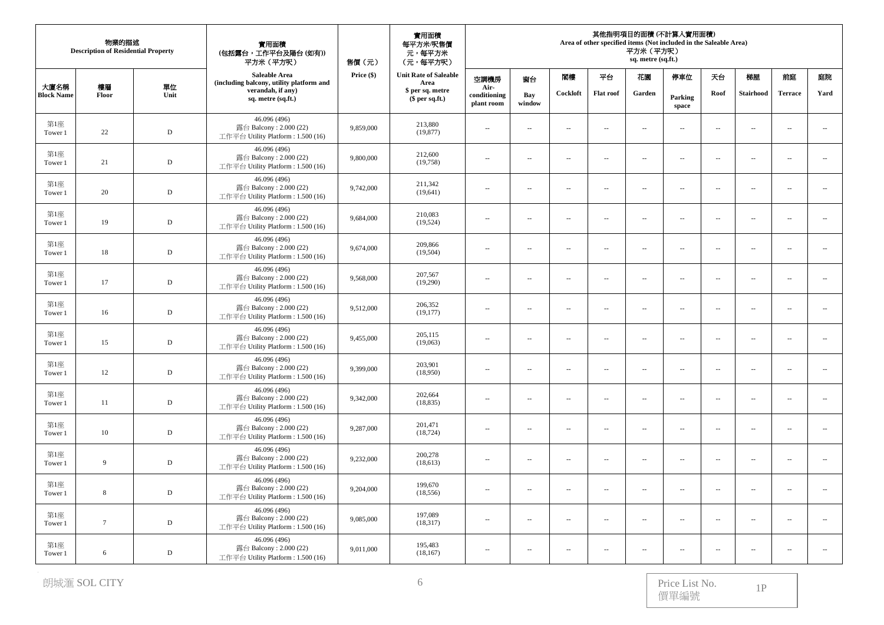|                           | 物業的描述<br><b>Description of Residential Property</b> |             | 實用面積<br>(包括露台,工作平台及陽台(如有))<br>平方米 (平方呎)                                      | 實用面積<br>每平方米/呎售價<br>元,每平方米<br>(元,每平方呎)<br>售價(元) |                                      | 其他指明項目的面積 (不計算人實用面積)<br>Area of other specified items (Not included in the Saleable Area)<br>平方米 (平方呎)<br>sq. metre (sq.ft.) |                          |                          |                  |                          |                             |                             |                          |                          |                          |  |
|---------------------------|-----------------------------------------------------|-------------|------------------------------------------------------------------------------|-------------------------------------------------|--------------------------------------|------------------------------------------------------------------------------------------------------------------------------|--------------------------|--------------------------|------------------|--------------------------|-----------------------------|-----------------------------|--------------------------|--------------------------|--------------------------|--|
|                           |                                                     |             | Saleable Area<br>(including balcony, utility platform and                    | Price $(\$)$                                    | <b>Unit Rate of Saleable</b><br>Area | 空調機房                                                                                                                         | 窗台                       | 閣模                       | 平台               | 花園                       | 停車位                         | 天台                          | 梯屋                       | 前庭                       | 庭院                       |  |
| 大廈名稱<br><b>Block Name</b> | 樓層<br>Floor                                         | 單位<br>Unit  | verandah, if any)<br>sq. metre (sq.ft.)                                      |                                                 | \$ per sq. metre<br>$$$ per sq.ft.)  | Air-<br>conditioning<br>plant room                                                                                           | Bay<br>window            | Cockloft                 | <b>Flat roof</b> | Garden                   | Parking<br>space            | Roof                        | <b>Stairhood</b>         | <b>Terrace</b>           | Yard                     |  |
| 第1座<br>Tower 1            | 22                                                  | $\mathbb D$ | 46.096 (496)<br>露台 Balcony: 2.000 (22)<br>工作平台 Utility Platform: 1.500 (16)  | 9,859,000                                       | 213,880<br>(19, 877)                 | $\sim$                                                                                                                       | $\sim$                   | $\sim$                   | $\sim$           | $\overline{\phantom{a}}$ | $\sim$                      | $\overline{\phantom{a}}$    | $\sim$                   | $\sim$                   | $\sim$                   |  |
| 第1座<br>Tower 1            | 21                                                  | ${\rm D}$   | 46.096 (496)<br>露台 Balcony: 2.000 (22)<br>工作平台 Utility Platform: 1.500 (16)  | 9,800,000                                       | 212,600<br>(19,758)                  | $\overline{\phantom{a}}$                                                                                                     | $\sim$                   | $\overline{\phantom{a}}$ | $\sim$           | $\overline{\phantom{a}}$ | $\overline{\phantom{a}}$    | $\overline{\phantom{a}}$    | $\sim$                   | $\sim$                   | $\sim$                   |  |
| 第1座<br>Tower 1            | 20                                                  | $\mathbf D$ | 46.096 (496)<br>露台 Balcony: 2.000 (22)<br>工作平台 Utility Platform : 1.500 (16) | 9,742,000                                       | 211,342<br>(19,641)                  | $\overline{\phantom{a}}$                                                                                                     | $\sim$                   | $\overline{\phantom{a}}$ | $\sim$           | $\sim$                   | $\overline{\phantom{a}}$    | $\sim$                      | $\sim$                   | $\sim$                   | $\overline{\phantom{a}}$ |  |
| 第1座<br>Tower 1            | 19                                                  | $\mathbf D$ | 46.096 (496)<br>露台 Balcony: 2.000 (22)<br>工作平台 Utility Platform : 1.500 (16) | 9,684,000                                       | 210,083<br>(19,524)                  | $\overline{\phantom{a}}$                                                                                                     | $\sim$                   | $\sim$ $-$               | $\sim$           | $\overline{\phantom{a}}$ | $\mathcal{L}_{\mathcal{A}}$ | $\sim$                      | $\sim$                   | $\sim$                   | $\overline{a}$           |  |
| 第1座<br>Tower 1            | 18                                                  | ${\rm D}$   | 46.096 (496)<br>露台 Balcony: 2.000 (22)<br>工作平台 Utility Platform: 1.500 (16)  | 9,674,000                                       | 209,866<br>(19,504)                  | $\overline{\phantom{a}}$                                                                                                     | $\sim$                   | $\overline{\phantom{a}}$ | $\overline{a}$   | $\overline{\phantom{a}}$ | $\overline{\phantom{a}}$    | $\overline{\phantom{a}}$    | $\sim$                   | $\sim$                   | $\overline{\phantom{a}}$ |  |
| 第1座<br>Tower 1            | 17                                                  | $\mathbf D$ | 46.096 (496)<br>露台 Balcony: 2.000 (22)<br>工作平台 Utility Platform: 1.500 (16)  | 9,568,000                                       | 207,567<br>(19,290)                  | $\overline{\phantom{a}}$                                                                                                     | $\overline{\phantom{a}}$ | $\overline{a}$           | $\ldots$         | $\overline{\phantom{a}}$ | $\overline{a}$              | $\overline{\phantom{a}}$    | $\ldots$                 | $\sim$                   | $\overline{\phantom{a}}$ |  |
| 第1座<br>Tower 1            | 16                                                  | $\mathbb D$ | 46.096 (496)<br>露台 Balcony: 2.000 (22)<br>工作平台 Utility Platform: 1.500 (16)  | 9,512,000                                       | 206,352<br>(19, 177)                 | $\ddot{\phantom{a}}$                                                                                                         | $\sim$                   | $\overline{\phantom{a}}$ | $\overline{a}$   | $\sim$                   | $\ddot{\phantom{a}}$        | $\overline{\phantom{a}}$    | $\sim$                   | $\sim$                   | $\overline{\phantom{a}}$ |  |
| 第1座<br>Tower 1            | 15                                                  | $\mathbb D$ | 46.096 (496)<br>露台 Balcony: 2.000 (22)<br>工作平台 Utility Platform: 1.500 (16)  | 9,455,000                                       | 205,115<br>(19,063)                  | $\overline{\phantom{a}}$                                                                                                     | $\sim$                   | $\sim$                   | $\sim$           | $\overline{\phantom{a}}$ | $\overline{\phantom{a}}$    | $\mathcal{L}_{\mathcal{A}}$ | $\sim$                   | $\sim$                   | $\sim$                   |  |
| 第1座<br>Tower 1            | 12                                                  | D           | 46.096 (496)<br>露台 Balcony: 2.000 (22)<br>工作平台 Utility Platform: 1.500 (16)  | 9,399,000                                       | 203,901<br>(18,950)                  | $\sim$                                                                                                                       | $\sim$                   | $\sim$                   | $\sim$           | $\overline{\phantom{a}}$ | $\overline{\phantom{a}}$    | $\overline{\phantom{a}}$    | $\sim$                   | $\sim$                   | $\sim$                   |  |
| 第1座<br>Tower 1            | 11                                                  | $\mathbf D$ | 46.096 (496)<br>露台 Balcony: 2.000 (22)<br>工作平台 Utility Platform : 1.500 (16) | 9,342,000                                       | 202,664<br>(18, 835)                 | $\overline{\phantom{a}}$                                                                                                     | $\sim$                   | $\ldots$                 | $\overline{a}$   | $\overline{\phantom{a}}$ | $\overline{\phantom{a}}$    | $\overline{\phantom{a}}$    | $\ldots$                 | $\sim$                   | ÷.                       |  |
| 第1座<br>Tower 1            | 10                                                  | $\mathbb D$ | 46.096 (496)<br>露台 Balcony: 2.000 (22)<br>工作平台 Utility Platform: 1.500 (16)  | 9,287,000                                       | 201,471<br>(18, 724)                 | $\overline{\phantom{a}}$                                                                                                     | $\overline{\phantom{a}}$ | $\sim$                   | $\sim$           | $\overline{\phantom{a}}$ | $\mathcal{L}_{\mathcal{A}}$ | $\overline{\phantom{a}}$    | $\overline{\phantom{a}}$ | $\sim$                   | $\overline{\phantom{a}}$ |  |
| 第1座<br>Tower 1            | 9                                                   | $\mathbf D$ | 46.096 (496)<br>露台 Balcony: 2.000 (22)<br>工作平台 Utility Platform: 1.500 (16)  | 9,232,000                                       | 200,278<br>(18,613)                  | $\overline{\phantom{a}}$                                                                                                     | $\sim$                   | $\sim$                   | $\sim$           | $\overline{\phantom{a}}$ | $\overline{\phantom{a}}$    | $\overline{\phantom{a}}$    | $\sim$                   | $\sim$                   | $\overline{\phantom{a}}$ |  |
| 第1座<br>Tower 1            | 8                                                   | $\mathbb D$ | 46.096 (496)<br>露台 Balcony: 2.000 (22)<br>工作平台 Utility Platform: 1.500 (16)  | 9,204,000                                       | 199,670<br>(18, 556)                 | $\overline{\phantom{a}}$                                                                                                     | $\sim$                   | $\sim$                   | $\sim$           | $\overline{\phantom{a}}$ | $\ddot{\phantom{a}}$        | $\overline{\phantom{a}}$    | $\ldots$                 | $\sim$                   | $\sim$                   |  |
| 第1座<br>Tower 1            | $7\phantom{.0}$                                     | $\mathbb D$ | 46.096 (496)<br>露台 Balcony: 2.000 (22)<br>工作平台 Utility Platform : 1.500 (16) | 9,085,000                                       | 197,089<br>(18,317)                  | $\overline{\phantom{a}}$                                                                                                     | $\sim$                   | $\sim$                   | $\sim$           | $\sim$                   | $\overline{\phantom{a}}$    | $\sim$                      | $\sim$                   | $\sim$                   | $\sim$                   |  |
| 第1座<br>Tower 1            | 6                                                   | $\mathbb D$ | 46.096 (496)<br>露台 Balcony: 2.000 (22)<br>工作平台 Utility Platform: 1.500 (16)  | 9,011,000                                       | 195,483<br>(18, 167)                 | $\overline{\phantom{a}}$                                                                                                     | $\sim$                   | $\sim$                   | $\sim$           | $\sim$                   | $\overline{\phantom{a}}$    | $\overline{\phantom{a}}$    | $\sim$                   | $\overline{\phantom{a}}$ | $\sim$                   |  |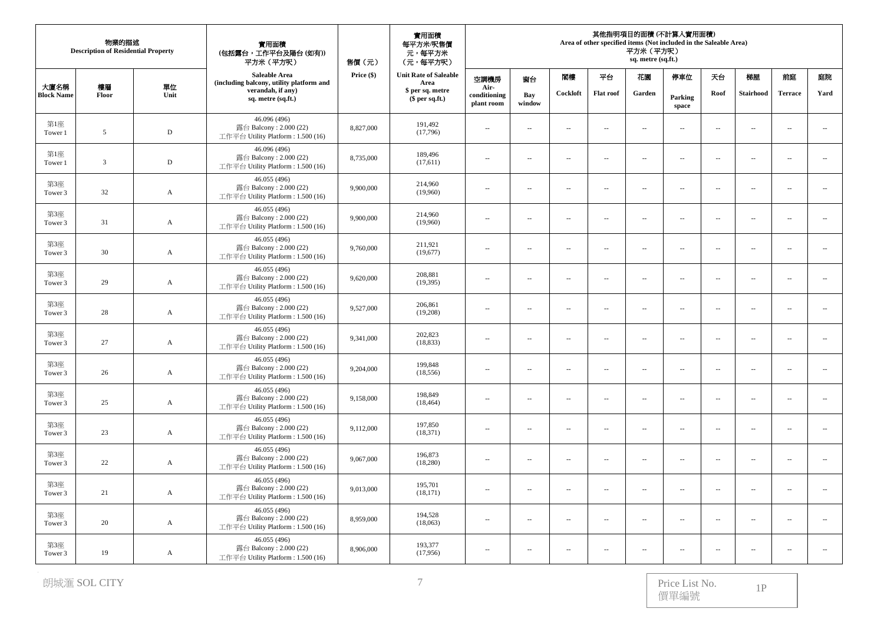|                           | 物業的描述<br><b>Description of Residential Property</b> |              | 實用面積<br>(包括露台,工作平台及陽台(如有))<br>平方米 (平方呎)                                      | 實用面積<br>每平方米/呎售價<br>元,每平方米<br>(元,每平方呎)<br>售價(元) |                                      |                                    | 其他指明項目的面積 (不計算入實用面積)<br>Area of other specified items (Not included in the Saleable Area)<br>平方米 (平方呎)<br>sq. metre (sq.ft.) |                          |                          |                          |                          |                          |                  |                          |                             |  |
|---------------------------|-----------------------------------------------------|--------------|------------------------------------------------------------------------------|-------------------------------------------------|--------------------------------------|------------------------------------|------------------------------------------------------------------------------------------------------------------------------|--------------------------|--------------------------|--------------------------|--------------------------|--------------------------|------------------|--------------------------|-----------------------------|--|
|                           |                                                     |              | Saleable Area<br>(including balcony, utility platform and                    | Price (\$)                                      | <b>Unit Rate of Saleable</b><br>Area | 空調機房                               | 窗台                                                                                                                           | 閣樓                       | 平台                       | 花園                       | 停車位                      | 天台                       | 梯屋               | 前庭                       | 庭院                          |  |
| 大廈名稱<br><b>Block Name</b> | 樓層<br>Floor                                         | 單位<br>Unit   | verandah, if any)<br>sq. metre (sq.ft.)                                      |                                                 | \$ per sq. metre<br>$$$ per sq.ft.)  | Air-<br>conditioning<br>plant room | Bay<br>window                                                                                                                | Cockloft                 | <b>Flat roof</b>         | Garden                   | Parking<br>space         | Roof                     | <b>Stairhood</b> | <b>Terrace</b>           | Yard                        |  |
| 第1座<br>Tower 1            | 5                                                   | $\mathbb D$  | 46.096 (496)<br>露台 Balcony: 2.000 (22)<br>工作平台 Utility Platform: 1.500 (16)  | 8,827,000                                       | 191,492<br>(17,796)                  | $\overline{\phantom{a}}$           | $\sim$                                                                                                                       | $\sim$                   | $\sim$                   | $\sim$                   | $\overline{\phantom{a}}$ | $\sim$                   | $\sim$           | $\sim$                   | $\mathcal{L}_{\mathcal{A}}$ |  |
| 第1座<br>Tower 1            | $\overline{3}$                                      | $\mathbf D$  | 46.096 (496)<br>露台 Balcony: 2.000 (22)<br>工作平台 Utility Platform: 1.500 (16)  | 8,735,000                                       | 189,496<br>(17,611)                  | $\overline{\phantom{a}}$           | $\overline{\phantom{a}}$                                                                                                     | $\sim$                   | $\overline{\phantom{a}}$ | $\overline{\phantom{a}}$ | $\overline{\phantom{a}}$ | $\sim$                   | $\sim$           | $\sim$                   | $\overline{\phantom{a}}$    |  |
| 第3座<br>Tower 3            | 32                                                  | $\mathbf A$  | 46.055 (496)<br>露台 Balcony: 2.000 (22)<br>工作平台 Utility Platform: 1.500 (16)  | 9,900,000                                       | 214,960<br>(19,960)                  | $\cdots$                           | $\sim$                                                                                                                       | $\sim$                   | $\overline{\phantom{a}}$ | $\sim$                   | $\overline{\phantom{a}}$ | $\sim$                   | $\sim$           | $\sim$                   | $\overline{\phantom{a}}$    |  |
| 第3座<br>Tower 3            | 31                                                  | $\mathbf{A}$ | 46.055 (496)<br>露台 Balcony: 2.000 (22)<br>工作平台 Utility Platform: 1.500 (16)  | 9,900,000                                       | 214,960<br>(19,960)                  | $\overline{\phantom{a}}$           | $\sim$                                                                                                                       | $\overline{a}$           | $\sim$ $-$               | $\sim$                   | $\overline{\phantom{a}}$ | $\sim$                   | $\sim$           | $\overline{a}$           | $\sim$                      |  |
| 第3座<br>Tower 3            | 30                                                  | A            | 46.055 (496)<br>露台 Balcony: 2.000 (22)<br>工作平台 Utility Platform: 1.500 (16)  | 9,760,000                                       | 211,921<br>(19,677)                  | $\overline{\phantom{a}}$           | $\sim$                                                                                                                       | $\sim$                   | $\overline{\phantom{a}}$ | $\overline{\phantom{a}}$ | $\overline{\phantom{a}}$ | $\sim$                   | $\sim$           | $\overline{\phantom{a}}$ | $\overline{\phantom{a}}$    |  |
| 第3座<br>Tower 3            | 29                                                  | $\mathbf A$  | 46.055 (496)<br>露台 Balcony: 2.000 (22)<br>工作平台 Utility Platform: 1.500 (16)  | 9,620,000                                       | 208,881<br>(19,395)                  | $\overline{\phantom{a}}$           | $\overline{\phantom{a}}$                                                                                                     | $\overline{a}$           | $\ldots$                 | $\overline{\phantom{a}}$ | $\overline{\phantom{a}}$ | $\overline{\phantom{a}}$ | $\ldots$         |                          | $\ldots$                    |  |
| 第3座<br>Tower 3            | 28                                                  | $\mathbf{A}$ | 46.055 (496)<br>露台 Balcony: 2.000 (22)<br>工作平台 Utility Platform: 1.500 (16)  | 9,527,000                                       | 206,861<br>(19,208)                  | $\overline{\phantom{a}}$           | ÷.                                                                                                                           | $\sim$                   | $\overline{\phantom{a}}$ | $\sim$                   | $\overline{\phantom{a}}$ | $\sim$                   | $\sim$           | $\sim$                   | $\overline{\phantom{a}}$    |  |
| 第3座<br>Tower 3            | 27                                                  | $\mathbf A$  | 46.055 (496)<br>露台 Balcony: $2.000(22)$<br>工作平台 Utility Platform: 1.500 (16) | 9,341,000                                       | 202,823<br>(18, 833)                 | $\overline{\phantom{a}}$           | $\sim$                                                                                                                       | $\sim$                   | $\sim$                   | $\overline{\phantom{a}}$ | $\overline{\phantom{a}}$ | $\sim$                   | $\sim$           | $\sim$ $\sim$            | $\ldots$                    |  |
| 第3座<br>Tower 3            | 26                                                  | A            | 46.055 (496)<br>露台 Balcony: 2.000 (22)<br>工作平台 Utility Platform: 1.500 (16)  | 9,204,000                                       | 199,848<br>(18, 556)                 | $\overline{\phantom{a}}$           | $\sim$                                                                                                                       | $\sim$                   | $\sim$                   | $\overline{\phantom{a}}$ | $\overline{\phantom{a}}$ | $\sim$                   | $\sim$           | $\overline{\phantom{a}}$ | $\overline{\phantom{a}}$    |  |
| 第3座<br>Tower 3            | 25                                                  | A            | 46.055 (496)<br>露台 Balcony: 2.000 (22)<br>工作平台 Utility Platform: 1.500 (16)  | 9,158,000                                       | 198,849<br>(18, 464)                 | $\cdots$                           | $\overline{\phantom{a}}$                                                                                                     | $\overline{a}$           | $\overline{\phantom{m}}$ | $\overline{\phantom{a}}$ | $\overline{\phantom{a}}$ | $\overline{\phantom{a}}$ | $\ldots$         | $\overline{\phantom{a}}$ | $\mathcal{L}_{\mathcal{A}}$ |  |
| 第3座<br>Tower 3            | 23                                                  | $\mathbf A$  | 46.055 (496)<br>露台 Balcony: 2.000 (22)<br>工作平台 Utility Platform: 1.500 (16)  | 9,112,000                                       | 197,850<br>(18, 371)                 | $\overline{\phantom{a}}$           | $\overline{\phantom{a}}$                                                                                                     | $\overline{a}$           | $\overline{\phantom{a}}$ | $\overline{\phantom{a}}$ | $\overline{\phantom{a}}$ | $\overline{\phantom{a}}$ | $\sim$           | $\sim$ $\sim$            | $\overline{\phantom{a}}$    |  |
| 第3座<br>Tower 3            | 22                                                  | A            | 46.055 (496)<br>露台 Balcony: 2.000 (22)<br>工作平台 Utility Platform: 1.500 (16)  | 9,067,000                                       | 196,873<br>(18, 280)                 | $\overline{\phantom{a}}$           | $\sim$                                                                                                                       | $\overline{\phantom{a}}$ | $\sim$                   | $\overline{\phantom{a}}$ | $\overline{\phantom{a}}$ | $\sim$                   | $\sim$           | $\overline{\phantom{a}}$ | $\overline{\phantom{a}}$    |  |
| 第3座<br>Tower 3            | 21                                                  | A            | 46.055 (496)<br>露台 Balcony: 2.000 (22)<br>工作平台 Utility Platform: 1.500 (16)  | 9,013,000                                       | 195,701<br>(18,171)                  | $\overline{\phantom{a}}$           | ÷.                                                                                                                           | $\overline{a}$           | $\overline{\phantom{a}}$ | $\overline{\phantom{a}}$ | $\overline{\phantom{a}}$ | $\overline{\phantom{a}}$ | $\ldots$         | $\sim$                   | $\ldots$                    |  |
| 第3座<br>Tower 3            | 20                                                  | A            | 46.055 (496)<br>露台 Balcony: 2.000 (22)<br>工作平台 Utility Platform: 1.500 (16)  | 8,959,000                                       | 194,528<br>(18,063)                  | $\overline{\phantom{a}}$           | ÷.                                                                                                                           | $\sim$                   | $\sim$                   | $\sim$                   | $\overline{\phantom{a}}$ | $\sim$                   | $\sim$           | $\sim$                   | $\overline{\phantom{a}}$    |  |
| 第3座<br>Tower 3            | 19                                                  | $\mathbf{A}$ | 46.055 (496)<br>露台 Balcony: $2.000(22)$<br>工作平台 Utility Platform: 1.500 (16) | 8,906,000                                       | 193,377<br>(17,956)                  | $\overline{\phantom{a}}$           | $\overline{\phantom{a}}$                                                                                                     | $\sim$                   | $\sim$                   | $\overline{\phantom{a}}$ | $\sim$                   | $\sim$                   | $\sim$           | $\sim$                   | $\sim$                      |  |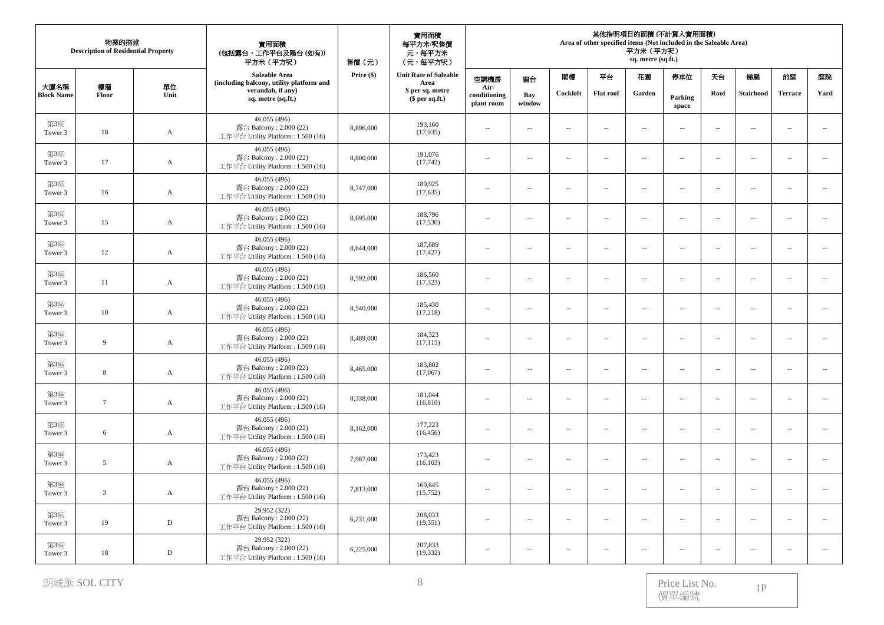|                           | 物業的描述<br><b>Description of Residential Property</b> |              | 實用面積<br>(包括露台,工作平台及陽台(如有))<br>平方米 (平方呎)                                      | 售價(元)      | 其他指明項目的面積 (不計算入實用面積)<br>Area of other specified items (Not included in the Saleable Area)<br>平方米 (平方呎)<br>sq. metre (sq.ft.) |                                    |                          |                             |                          |                          |                          |                          |                  |                          |                             |
|---------------------------|-----------------------------------------------------|--------------|------------------------------------------------------------------------------|------------|------------------------------------------------------------------------------------------------------------------------------|------------------------------------|--------------------------|-----------------------------|--------------------------|--------------------------|--------------------------|--------------------------|------------------|--------------------------|-----------------------------|
|                           |                                                     |              | Saleable Area<br>(including balcony, utility platform and                    | Price (\$) | <b>Unit Rate of Saleable</b><br>Area                                                                                         | 空調機房                               | 窗台                       | 閣樓                          | 平台                       | 花園                       | 停車位                      | 天台                       | 梯屋               | 前庭                       | 庭院                          |
| 大廈名稱<br><b>Block Name</b> | 樓層<br>Floor                                         | 單位<br>Unit   | verandah, if any)<br>sq. metre (sq.ft.)                                      |            | \$ per sq. metre<br>$$$ per sq.ft.)                                                                                          | Air-<br>conditioning<br>plant room | Bay<br>window            | Cockloft                    | <b>Flat roof</b>         | Garden                   | Parking<br>space         | Roof                     | <b>Stairhood</b> | <b>Terrace</b>           | Yard                        |
| 第3座<br>Tower 3            | 18                                                  | $\mathbf{A}$ | 46.055 (496)<br>露台 Balcony: 2.000 (22)<br>工作平台 Utility Platform: 1.500 (16)  | 8,896,000  | 193,160<br>(17,935)                                                                                                          | $\overline{\phantom{a}}$           | $\sim$                   | $\sim$                      | $\sim$                   | $\sim$                   | $\overline{\phantom{a}}$ | $\sim$                   | $\sim$           | $\sim$                   | $\mathcal{L}_{\mathcal{A}}$ |
| 第3座<br>Tower 3            | 17                                                  | A            | 46.055 (496)<br>露台 Balcony: 2.000 (22)<br>工作平台 Utility Platform: 1.500 (16)  | 8,800,000  | 191,076<br>(17, 742)                                                                                                         | $\overline{\phantom{a}}$           | $\overline{\phantom{a}}$ | $\overline{\phantom{a}}$    | $\overline{\phantom{a}}$ | $\overline{\phantom{a}}$ | $\overline{\phantom{a}}$ | $\sim$                   | $\sim$           | $\sim$                   | $\overline{\phantom{a}}$    |
| 第3座<br>Tower 3            | 16                                                  | $\mathbf A$  | 46.055 (496)<br>露台 Balcony: 2.000 (22)<br>工作平台 Utility Platform : 1.500 (16) | 8,747,000  | 189,925<br>(17,635)                                                                                                          | $\cdots$                           | ÷.                       | $\sim$                      | $\overline{\phantom{a}}$ | $\sim$                   | $\overline{\phantom{a}}$ | $\sim$                   | $\sim$           | $\sim$                   | $\overline{\phantom{a}}$    |
| 第3座<br>Tower 3            | 15                                                  | $\mathbf{A}$ | 46.055 (496)<br>露台 Balcony: 2.000 (22)<br>工作平台 Utility Platform: 1.500 (16)  | 8,695,000  | 188,796<br>(17,530)                                                                                                          | $\overline{\phantom{a}}$           | $\sim$                   | $\overline{a}$              | $\sim$ $-$               | $\sim$                   | $\overline{\phantom{a}}$ | $\sim$                   | $\sim$           | $\overline{a}$           | $\sim$                      |
| 第3座<br>Tower 3            | 12                                                  | A            | 46.055 (496)<br>露台 Balcony: 2.000 (22)<br>工作平台 Utility Platform: 1.500 (16)  | 8,644,000  | 187,689<br>(17, 427)                                                                                                         | $\overline{\phantom{a}}$           | $\sim$                   | $\sim$                      | $\overline{\phantom{a}}$ | $\overline{\phantom{a}}$ | $\overline{\phantom{a}}$ | $\sim$                   | $\sim$           | $\overline{\phantom{a}}$ | $\overline{\phantom{a}}$    |
| 第3座<br>Tower 3            | 11                                                  | $\mathbf A$  | 46.055 (496)<br>露台 Balcony: 2.000 (22)<br>工作平台 Utility Platform: 1.500 (16)  | 8,592,000  | 186,560<br>(17, 323)                                                                                                         | $\overline{\phantom{a}}$           | $\overline{\phantom{a}}$ | $\overline{a}$              | $\ldots$                 | $\overline{\phantom{a}}$ | $\overline{\phantom{a}}$ | $\overline{\phantom{a}}$ | $\ldots$         |                          | $\overline{\phantom{a}}$    |
| 第3座<br>Tower 3            | 10                                                  | $\mathbf{A}$ | 46.055 (496)<br>露台 Balcony: 2.000 (22)<br>工作平台 Utility Platform: 1.500 (16)  | 8,540,000  | 185,430<br>(17,218)                                                                                                          | $\overline{\phantom{a}}$           | ÷.                       | $\sim$                      | $\overline{\phantom{a}}$ | $\sim$                   | $\overline{\phantom{a}}$ | $\sim$                   | $\sim$           | $\sim$                   | $\overline{\phantom{a}}$    |
| 第3座<br>Tower 3            | 9                                                   | $\mathbf A$  | 46.055 (496)<br>露台 Balcony: $2.000(22)$<br>工作平台 Utility Platform: 1.500 (16) | 8,489,000  | 184,323<br>(17, 115)                                                                                                         | $\overline{\phantom{a}}$           | $\sim$                   | $\mathcal{L}_{\mathcal{A}}$ | $\sim$                   | $\overline{\phantom{a}}$ | $\overline{\phantom{a}}$ | $\sim$                   | $\sim$           | $\sim$ $\sim$            | $\ldots$                    |
| 第3座<br>Tower 3            | 8                                                   | A            | 46.055 (496)<br>露台 Balcony: 2.000 (22)<br>工作平台 Utility Platform: 1.500 (16)  | 8,465,000  | 183,802<br>(17,067)                                                                                                          | $\overline{\phantom{a}}$           | $\sim$                   | $\overline{\phantom{a}}$    | $\overline{\phantom{a}}$ | $\overline{\phantom{a}}$ | $\overline{\phantom{a}}$ | $\sim$                   | $\sim$           | $\sim$                   | $\overline{\phantom{a}}$    |
| 第3座<br>Tower 3            | $7\phantom{.0}$                                     | A            | 46.055 (496)<br>露台 Balcony: 2.000 (22)<br>工作平台 Utility Platform: 1.500 (16)  | 8,338,000  | 181,044<br>(16, 810)                                                                                                         | $\cdots$                           | $\overline{\phantom{a}}$ | $\overline{a}$              | $\overline{\phantom{m}}$ | $\overline{\phantom{a}}$ | $\overline{\phantom{a}}$ | $\overline{\phantom{a}}$ | $\ldots$         | $\overline{\phantom{a}}$ | $\mathcal{L}_{\mathcal{A}}$ |
| 第3座<br>Tower 3            | 6                                                   | $\mathbf A$  | 46.055 (496)<br>露台 Balcony: 2.000 (22)<br>工作平台 Utility Platform: 1.500 (16)  | 8,162,000  | 177,223<br>(16, 456)                                                                                                         | $\overline{\phantom{a}}$           | $\overline{\phantom{a}}$ | $\overline{a}$              | $\overline{\phantom{a}}$ | $\overline{\phantom{a}}$ | $\overline{\phantom{a}}$ | $\overline{\phantom{a}}$ | $\sim$           | $\sim$ $\sim$            | $\overline{\phantom{a}}$    |
| 第3座<br>Tower 3            | 5                                                   | A            | 46.055 (496)<br>露台 Balcony: 2.000 (22)<br>工作平台 Utility Platform: 1.500 (16)  | 7,987,000  | 173,423<br>(16, 103)                                                                                                         | $\overline{\phantom{a}}$           | $\sim$                   | $\overline{\phantom{a}}$    | $\sim$                   | $\overline{\phantom{a}}$ | $\overline{\phantom{a}}$ | $\sim$                   | $\sim$           | $\overline{\phantom{a}}$ | $\overline{\phantom{a}}$    |
| 第3座<br>Tower 3            | $\overline{3}$                                      | A            | 46.055 (496)<br>露台 Balcony: 2.000 (22)<br>工作平台 Utility Platform: 1.500 (16)  | 7,813,000  | 169,645<br>(15,752)                                                                                                          | $\overline{\phantom{a}}$           | ÷.                       | $\sim$                      | $\overline{\phantom{a}}$ | $\overline{\phantom{a}}$ | $\overline{\phantom{a}}$ | $\overline{\phantom{a}}$ | $\ldots$         | $\sim$                   | $\ldots$                    |
| 第3座<br>Tower 3            | 19                                                  | D            | 29.952 (322)<br>露台 Balcony: 2.000 (22)<br>工作平台 Utility Platform: 1.500 (16)  | 6,231,000  | 208,033<br>(19,351)                                                                                                          | $\overline{\phantom{a}}$           | ÷.                       | $\sim$                      | $\sim$                   | $\sim$                   | $\overline{\phantom{a}}$ | $\sim$                   | $\sim$           | $\sim$                   | $\overline{\phantom{a}}$    |
| 第3座<br>Tower 3            | 18                                                  | $\mathbb D$  | 29.952 (322)<br>露台 Balcony: $2.000(22)$<br>工作平台 Utility Platform: 1.500 (16) | 6,225,000  | 207,833<br>(19, 332)                                                                                                         | $\overline{\phantom{a}}$           | $\sim$                   | $\sim$                      | $\sim$                   | $\overline{\phantom{a}}$ | $\sim$                   | $\sim$                   | $\sim$           | $\sim$                   | $\overline{a}$              |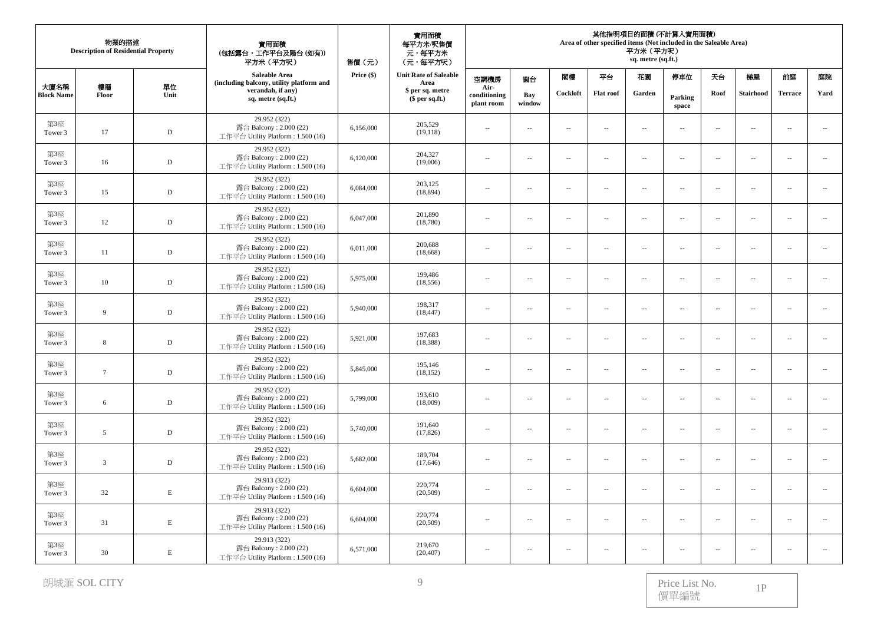|                           | 物業的描述<br><b>Description of Residential Property</b> |             | 實用面積<br>(包括露台,工作平台及陽台(如有))<br>平方米 (平方呎)                                      | 實用面積<br>每平方米/呎售價<br>元,每平方米<br>(元,每平方呎)<br>售價(元) |                                      |                                    | 其他指明項目的面積 (不計算入實用面積)<br>Area of other specified items (Not included in the Saleable Area)<br>平方米 (平方呎)<br>sq. metre (sq.ft.) |                          |                             |                          |                             |                          |                          |                          |                             |  |
|---------------------------|-----------------------------------------------------|-------------|------------------------------------------------------------------------------|-------------------------------------------------|--------------------------------------|------------------------------------|------------------------------------------------------------------------------------------------------------------------------|--------------------------|-----------------------------|--------------------------|-----------------------------|--------------------------|--------------------------|--------------------------|-----------------------------|--|
|                           |                                                     |             | Saleable Area<br>(including balcony, utility platform and                    | Price (\$)                                      | <b>Unit Rate of Saleable</b><br>Area | 空調機房                               | 窗台                                                                                                                           | 閣樓                       | 平台                          | 花園                       | 停車位                         | 天台                       | 梯屋                       | 前庭                       | 庭院                          |  |
| 大廈名稱<br><b>Block Name</b> | 樓層<br>Floor                                         | 單位<br>Unit  | verandah, if any)<br>sq. metre (sq.ft.)                                      |                                                 | \$ per sq. metre<br>$$$ per sq.ft.)  | Air-<br>conditioning<br>plant room | Bay<br>window                                                                                                                | Cockloft                 | <b>Flat roof</b>            | Garden                   | Parking<br>space            | Roof                     | <b>Stairhood</b>         | <b>Terrace</b>           | Yard                        |  |
| 第3座<br>Tower 3            | 17                                                  | $\mathbb D$ | 29.952 (322)<br>露台 Balcony: 2.000 (22)<br>工作平台 Utility Platform: 1.500 (16)  | 6,156,000                                       | 205,529<br>(19, 118)                 | $\overline{\phantom{a}}$           | $\sim$                                                                                                                       | $\overline{a}$           | $\sim$                      | $\overline{\phantom{a}}$ | $\overline{\phantom{a}}$    | $\sim$                   | $\sim$                   | $\sim$                   | $\sim$                      |  |
| 第3座<br>Tower 3            | 16                                                  | $\mathbf D$ | 29.952 (322)<br>露台 Balcony: 2.000 (22)<br>工作平台 Utility Platform: 1.500 (16)  | 6,120,000                                       | 204,327<br>(19,006)                  | $\overline{\phantom{a}}$           | $\overline{\phantom{a}}$                                                                                                     | $\overline{\phantom{a}}$ | $\overline{\phantom{a}}$    | $\overline{\phantom{a}}$ | $\overline{\phantom{a}}$    | $\sim$                   | $\sim$                   | $\sim$                   | $\overline{\phantom{a}}$    |  |
| 第3座<br>Tower 3            | 15                                                  | $\mathbb D$ | 29.952 (322)<br>露台 Balcony: 2.000 (22)<br>工作平台 Utility Platform: 1.500 (16)  | 6,084,000                                       | 203,125<br>(18, 894)                 | $\overline{\phantom{a}}$           | $\overline{\phantom{a}}$                                                                                                     | $\overline{\phantom{a}}$ | $\overline{\phantom{a}}$    | $\overline{\phantom{a}}$ | $\overline{\phantom{a}}$    | $\overline{\phantom{a}}$ | $\ldots$                 | $\ldots$                 | ÷.                          |  |
| 第3座<br>Tower 3            | $12\,$                                              | $\mathbf D$ | 29.952 (322)<br>露台 Balcony: 2.000 (22)<br>工作平台 Utility Platform: 1.500 (16)  | 6,047,000                                       | 201,890<br>(18,780)                  | $\cdots$                           | $\overline{\phantom{a}}$                                                                                                     | $\sim$                   | $\overline{\phantom{a}}$    | $\sim$                   | $\overline{\phantom{a}}$    | $\sim$                   | $\sim$                   | $\sim$                   | $\sim$                      |  |
| 第3座<br>Tower 3            | 11                                                  | $\mathbb D$ | 29.952 (322)<br>露台 Balcony: 2.000 (22)<br>工作平台 Utility Platform: 1.500 (16)  | 6,011,000                                       | 200,688<br>(18,668)                  | $\overline{a}$                     | $\sim$                                                                                                                       | $\sim$                   | $\mathcal{L}_{\mathcal{A}}$ | $\sim$                   | $\overline{a}$              | $\sim$                   | $\sim$                   | $\sim$ $\sim$            | $\sim$                      |  |
| 第3座<br>Tower 3            | 10                                                  | D           | 29.952 (322)<br>露台 Balcony: 2.000 (22)<br>工作平台 Utility Platform: 1.500 (16)  | 5,975,000                                       | 199,486<br>(18, 556)                 | $\overline{\phantom{a}}$           | $\sim$                                                                                                                       | $\sim$                   | $\overline{\phantom{a}}$    | $\overline{\phantom{a}}$ | $\overline{\phantom{a}}$    | $\overline{\phantom{a}}$ | $\overline{\phantom{a}}$ | $\overline{\phantom{a}}$ | $\overline{\phantom{a}}$    |  |
| 第3座<br>Tower 3            | 9                                                   | $\mathbb D$ | 29.952 (322)<br>露台 Balcony: 2.000 (22)<br>工作平台 Utility Platform: 1.500 (16)  | 5,940,000                                       | 198,317<br>(18, 447)                 | $\overline{\phantom{a}}$           | ÷.                                                                                                                           | $\overline{a}$           | $\overline{a}$              | $\overline{\phantom{a}}$ | $\overline{\phantom{a}}$    | $\overline{\phantom{a}}$ | $\ldots$                 | $\sim$                   | $\mathcal{L}_{\mathcal{A}}$ |  |
| 第3座<br>Tower 3            | 8                                                   | $\mathbb D$ | 29.952 (322)<br>露台 Balcony: 2.000 (22)<br>工作平台 Utility Platform: 1.500 (16)  | 5,921,000                                       | 197,683<br>(18,388)                  | $\sim$                             | $\sim$                                                                                                                       | $\overline{a}$           | $\sim$ $-$                  | $\sim$                   | $\sim$                      | $\sim$                   | $\sim$                   | $\sim$ $\sim$            | $\sim$                      |  |
| 第3座<br>Tower 3            | $7\phantom{.0}$                                     | $\mathbb D$ | 29.952 (322)<br>露台 Balcony: 2.000 (22)<br>工作平台 Utility Platform: 1.500 (16)  | 5,845,000                                       | 195,146<br>(18, 152)                 | $\overline{\phantom{a}}$           | $\overline{\phantom{a}}$                                                                                                     | $\sim$                   | $\sim$                      | $\overline{\phantom{a}}$ | $\overline{\phantom{a}}$    | $\sim$                   | $\sim$                   | $\sim$                   | $\mathcal{L}_{\mathcal{A}}$ |  |
| 第3座<br>Tower 3            | 6                                                   | $\mathbb D$ | 29.952 (322)<br>露台 Balcony: 2.000 (22)<br>工作平台 Utility Platform: 1.500 (16)  | 5,799,000                                       | 193,610<br>(18,009)                  | $\overline{\phantom{a}}$           | $\sim$                                                                                                                       | $\sim$                   | $\overline{\phantom{a}}$    | $\sim$                   | $\overline{\phantom{a}}$    | $\sim$                   | $\sim$                   | 44                       | $\sim$                      |  |
| 第3座<br>Tower 3            | $\overline{5}$                                      | $\mathbb D$ | 29.952 (322)<br>露台 Balcony: 2.000 (22)<br>工作平台 Utility Platform : 1.500 (16) | 5,740,000                                       | 191,640<br>(17, 826)                 | $\cdots$                           | $\overline{\phantom{a}}$                                                                                                     | $\sim$                   | $\ldots$                    | $\overline{\phantom{a}}$ | $\mathcal{L}_{\mathcal{A}}$ | $\sim$                   | $\ldots$                 | $\sim$ $\sim$            | $\mathcal{L}_{\mathcal{A}}$ |  |
| 第3座<br>Tower 3            | 3                                                   | $\mathbb D$ | 29.952 (322)<br>露台 Balcony: 2.000 (22)<br>工作平台 Utility Platform: 1.500 (16)  | 5,682,000                                       | 189,704<br>(17, 646)                 | $\sim$                             | $\sim$                                                                                                                       | $\overline{a}$           | $\sim$                      | $\sim$                   | $\overline{\phantom{a}}$    | $\sim$                   | $\sim$                   | $\sim$ $\sim$            | $\sim$                      |  |
| 第3座<br>Tower 3            | 32                                                  | E           | 29.913 (322)<br>露台 Balcony: 2.000 (22)<br>工作平台 Utility Platform: 1.500 (16)  | 6,604,000                                       | 220,774<br>(20, 509)                 | $\overline{\phantom{a}}$           | $\overline{\phantom{a}}$                                                                                                     | $\overline{\phantom{a}}$ | $\overline{\phantom{a}}$    | $\overline{\phantom{a}}$ | $\overline{\phantom{a}}$    | $\sim$                   | $\sim$                   | $\overline{a}$           | $\ldots$                    |  |
| 第3座<br>Tower 3            | 31                                                  | $\mathbf E$ | 29.913 (322)<br>露台 Balcony: 2.000 (22)<br>工作平台 Utility Platform: 1.500 (16)  | 6,604,000                                       | 220,774<br>(20,509)                  | $\overline{\phantom{a}}$           | ÷.                                                                                                                           | $\sim$                   | $\overline{\phantom{a}}$    | $\overline{\phantom{a}}$ | $\overline{\phantom{a}}$    | $\overline{\phantom{a}}$ | $\sim$                   | $\sim$                   | $\ldots$                    |  |
| 第3座<br>Tower 3            | 30                                                  | $\mathbf E$ | 29.913 (322)<br>露台 Balcony: $2.000(22)$<br>工作平台 Utility Platform: 1.500 (16) | 6,571,000                                       | 219,670<br>(20, 407)                 | $\overline{\phantom{a}}$           | Ξ.                                                                                                                           | $\overline{\phantom{a}}$ | $\sim$                      | $\sim$                   | $\sim$                      | $\sim$                   | $\sim$                   | $\sim$                   |                             |  |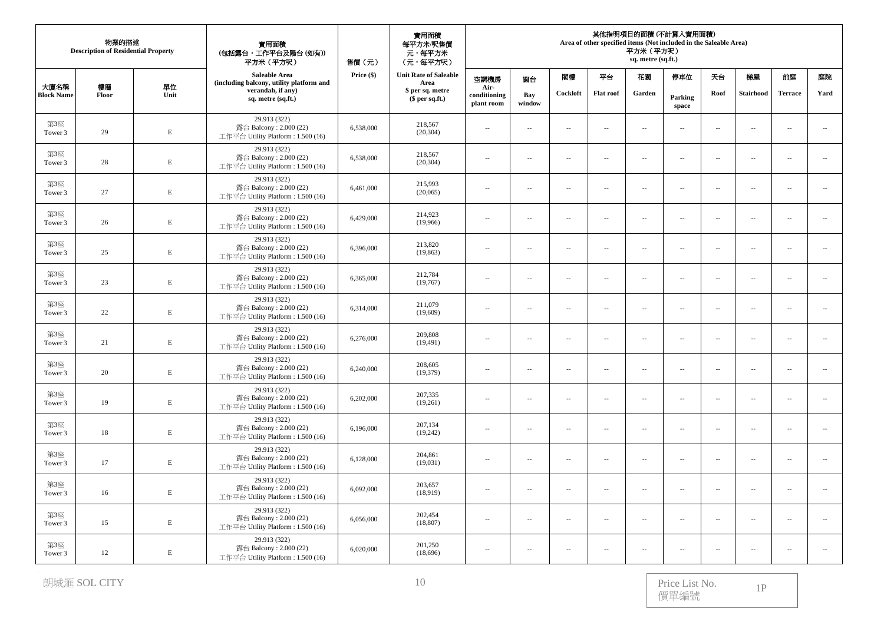|                           | 物業的描述<br><b>Description of Residential Property</b> |             | 實用面積<br>(包括露台,工作平台及陽台(如有))<br>平方米 (平方呎)                                      | 售價(元)      | 實用面積<br>每平方米/呎售價<br>元,每平方米<br>(元,每平方呎) | 其他指明項目的面積 (不計算入實用面積)<br>Area of other specified items (Not included in the Saleable Area)<br>平方米 (平方呎)<br>sq. metre (sq.ft.) |                          |                             |                          |                          |                          |                          |                          |                          |                             |
|---------------------------|-----------------------------------------------------|-------------|------------------------------------------------------------------------------|------------|----------------------------------------|------------------------------------------------------------------------------------------------------------------------------|--------------------------|-----------------------------|--------------------------|--------------------------|--------------------------|--------------------------|--------------------------|--------------------------|-----------------------------|
|                           |                                                     |             | Saleable Area<br>(including balcony, utility platform and                    | Price (\$) | <b>Unit Rate of Saleable</b><br>Area   | 空調機房                                                                                                                         | 窗台                       | 閣樓                          | 平台                       | 花園                       | 停車位                      | 天台                       | 梯屋                       | 前庭                       | 庭院                          |
| 大廈名稱<br><b>Block Name</b> | 樓層<br>Floor                                         | 單位<br>Unit  | verandah, if any)<br>sq. metre (sq.ft.)                                      |            | \$ per sq. metre<br>$$$ per sq.ft.)    | Air-<br>conditioning<br>plant room                                                                                           | Bay<br>window            | Cockloft                    | <b>Flat roof</b>         | Garden                   | Parking<br>space         | Roof                     | <b>Stairhood</b>         | <b>Terrace</b>           | Yard                        |
| 第3座<br>Tower 3            | 29                                                  | $\mathbf E$ | 29.913 (322)<br>露台 Balcony: 2.000 (22)<br>工作平台 Utility Platform: 1.500 (16)  | 6,538,000  | 218,567<br>(20, 304)                   | $\overline{\phantom{a}}$                                                                                                     | $\sim$                   | $\sim$                      | $\sim$                   | $\sim$                   | $\overline{\phantom{a}}$ | $\sim$                   | $\sim$                   | $\sim$                   | $\mathcal{L}_{\mathcal{A}}$ |
| 第3座<br>Tower 3            | 28                                                  | E           | 29.913 (322)<br>露台 Balcony: 2.000 (22)<br>工作平台 Utility Platform: 1.500 (16)  | 6,538,000  | 218,567<br>(20, 304)                   | $\overline{\phantom{a}}$                                                                                                     | $\overline{\phantom{a}}$ | $\sim$                      | $\overline{\phantom{a}}$ | $\overline{\phantom{a}}$ | $\overline{\phantom{a}}$ | $\sim$                   | $\sim$                   | $\sim$                   | $\overline{\phantom{a}}$    |
| 第3座<br>Tower 3            | 27                                                  | $\mathbf E$ | 29.913 (322)<br>露台 Balcony: 2.000 (22)<br>工作平台 Utility Platform: 1.500 (16)  | 6,461,000  | 215,993<br>(20,065)                    | $\cdots$                                                                                                                     | ÷.                       | $\sim$                      | $\overline{\phantom{a}}$ | $\sim$                   | $\overline{\phantom{a}}$ | $\sim$                   | $\sim$                   | $\sim$                   | $\overline{\phantom{a}}$    |
| 第3座<br>Tower 3            | 26                                                  | $\mathbf E$ | 29.913 (322)<br>露台 Balcony: 2.000 (22)<br>工作平台 Utility Platform: 1.500 (16)  | 6,429,000  | 214,923<br>(19,966)                    | $\overline{\phantom{a}}$                                                                                                     | $\sim$                   | $\overline{a}$              | $\sim$ $-$               | $\sim$                   | $\overline{a}$           | $\sim$                   | $\sim$                   | $\overline{a}$           | $\sim$                      |
| 第3座<br>Tower 3            | 25                                                  | $\mathbf E$ | 29.913 (322)<br>露台 Balcony: 2.000 (22)<br>工作平台 Utility Platform: 1.500 (16)  | 6,396,000  | 213,820<br>(19, 863)                   | $\overline{\phantom{a}}$                                                                                                     | $\sim$                   | $\sim$                      | $\overline{\phantom{a}}$ | $\overline{\phantom{a}}$ | $\overline{\phantom{a}}$ | $\sim$                   | $\sim$                   | $\overline{\phantom{a}}$ | $\overline{\phantom{a}}$    |
| 第3座<br>Tower 3            | 23                                                  | $\mathbf E$ | 29.913 (322)<br>露台 Balcony: 2.000 (22)<br>工作平台 Utility Platform: 1.500 (16)  | 6,365,000  | 212,784<br>(19,767)                    | $\overline{\phantom{a}}$                                                                                                     | $\overline{\phantom{a}}$ | $\overline{a}$              | $\ldots$                 | $\overline{\phantom{a}}$ | $\overline{\phantom{a}}$ | $\overline{\phantom{a}}$ | $\ldots$                 |                          | $\sim$                      |
| 第3座<br>Tower 3            | 22                                                  | $\mathbf E$ | 29.913 (322)<br>露台 Balcony: 2.000 (22)<br>工作平台 Utility Platform: 1.500 (16)  | 6,314,000  | 211,079<br>(19,609)                    | $\overline{\phantom{a}}$                                                                                                     | ÷.                       | $\sim$                      | $\overline{\phantom{a}}$ | $\sim$                   | $\overline{\phantom{a}}$ | $\sim$                   | $\sim$                   | $\sim$                   | $\overline{\phantom{a}}$    |
| 第3座<br>Tower 3            | 21                                                  | $\mathbf E$ | 29.913 (322)<br>露台 Balcony: 2.000 (22)<br>工作平台 Utility Platform: 1.500 (16)  | 6,276,000  | 209,808<br>(19, 491)                   | $\overline{\phantom{a}}$                                                                                                     | $\sim$                   | $\mathcal{L}_{\mathcal{A}}$ | $\sim$                   | $\overline{\phantom{a}}$ | $\overline{\phantom{a}}$ | $\sim$                   | $\sim$                   | $\sim$ $\sim$            | $\ldots$                    |
| 第3座<br>Tower 3            | 20                                                  | E           | 29.913 (322)<br>露台 Balcony: 2.000 (22)<br>工作平台 Utility Platform: 1.500 (16)  | 6,240,000  | 208,605<br>(19,379)                    | $\overline{\phantom{a}}$                                                                                                     | $\sim$                   | $\overline{\phantom{a}}$    | $\sim$                   | $\overline{\phantom{a}}$ | $\overline{\phantom{a}}$ | $\sim$                   | $\sim$                   | $\overline{\phantom{a}}$ | $\overline{\phantom{a}}$    |
| 第3座<br>Tower 3            | 19                                                  | $\mathbf E$ | 29.913 (322)<br>露台 Balcony: 2.000 (22)<br>工作平台 Utility Platform: 1.500 (16)  | 6,202,000  | 207,335<br>(19,261)                    | $\cdots$                                                                                                                     | $\overline{\phantom{a}}$ | $\overline{a}$              | $\overline{\phantom{m}}$ | $\overline{\phantom{a}}$ | $\overline{\phantom{a}}$ | $\sim$                   | $\ldots$                 | $\overline{\phantom{a}}$ | ÷.                          |
| 第3座<br>Tower 3            | $18\,$                                              | $\mathbf E$ | 29.913 (322)<br>露台 Balcony: 2.000 (22)<br>工作平台 Utility Platform: 1.500 (16)  | 6,196,000  | 207,134<br>(19,242)                    | $\overline{\phantom{a}}$                                                                                                     | $\overline{\phantom{a}}$ | $\overline{a}$              | $\overline{\phantom{a}}$ | $\overline{\phantom{a}}$ | $\overline{\phantom{a}}$ | $\overline{\phantom{a}}$ | $\overline{\phantom{a}}$ | $\sim$ $\sim$            | $\overline{\phantom{a}}$    |
| 第3座<br>Tower 3            | 17                                                  | $\mathbf E$ | 29.913 (322)<br>露台 Balcony: 2.000 (22)<br>工作平台 Utility Platform: 1.500 (16)  | 6,128,000  | 204,861<br>(19,031)                    | $\overline{\phantom{a}}$                                                                                                     | $\sim$                   | $\overline{\phantom{a}}$    | $\sim$                   | $\overline{\phantom{a}}$ | $\overline{\phantom{a}}$ | $\sim$                   | $\sim$                   | $\overline{\phantom{a}}$ | $\overline{\phantom{a}}$    |
| 第3座<br>Tower 3            | 16                                                  | $\mathbf E$ | 29.913 (322)<br>露台 Balcony: 2.000 (22)<br>工作平台 Utility Platform: 1.500 (16)  | 6,092,000  | 203,657<br>(18,919)                    | $\overline{\phantom{a}}$                                                                                                     | ÷.                       | $\sim$                      | $\overline{\phantom{a}}$ | $\overline{\phantom{a}}$ | $\overline{\phantom{a}}$ | $\overline{\phantom{a}}$ | $\ldots$                 | $\sim$                   | $\ldots$                    |
| 第3座<br>Tower 3            | 15                                                  | $\mathbf E$ | 29.913 (322)<br>露台 Balcony: 2.000 (22)<br>工作平台 Utility Platform: 1.500 (16)  | 6,056,000  | 202,454<br>(18, 807)                   | $\overline{\phantom{a}}$                                                                                                     | ÷.                       | $\sim$                      | $\overline{\phantom{a}}$ | $\sim$                   | $\overline{\phantom{a}}$ | $\sim$                   | $\sim$                   | $\sim$                   | $\overline{\phantom{a}}$    |
| 第3座<br>Tower 3            | 12                                                  | $\mathbf E$ | 29.913 (322)<br>露台 Balcony: $2.000(22)$<br>工作平台 Utility Platform: 1.500 (16) | 6,020,000  | 201,250<br>(18,696)                    | $\overline{\phantom{a}}$                                                                                                     | $\sim$                   | $\sim$                      | $\sim$                   | $\overline{\phantom{a}}$ | $\sim$                   | $\sim$                   | $\sim$                   | $\sim$                   | $\overline{a}$              |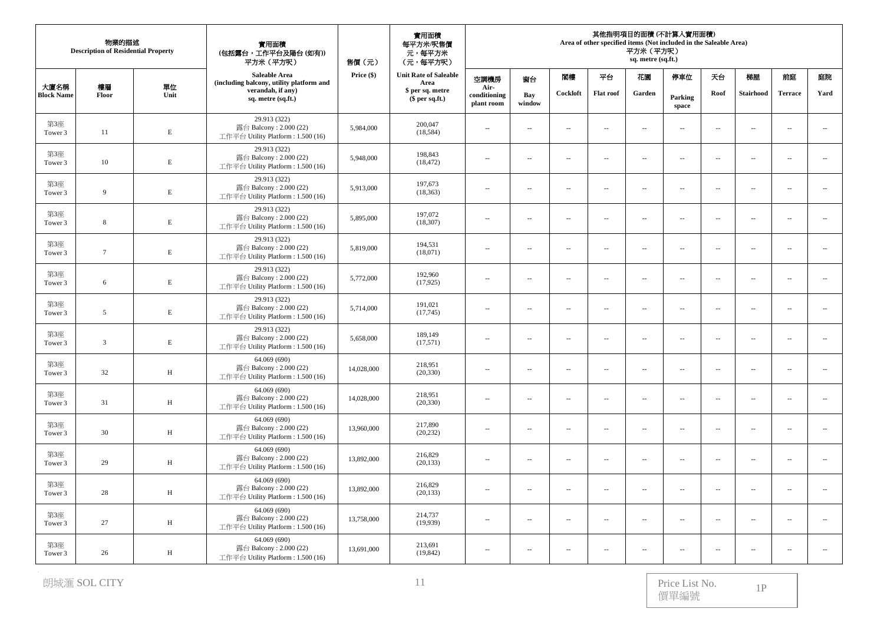| 物業的描述<br><b>Description of Residential Property</b> |                 |              | 實用面積<br>(包括露台,工作平台及陽台(如有))<br>平方米 (平方呎)                                      | 售價(元)      | 實用面積<br>每平方米/呎售價<br>元,每平方米<br>(元,每平方呎) | 其他指明項目的面積 (不計算入實用面積)<br>Area of other specified items (Not included in the Saleable Area)<br>平方米 (平方呎)<br>sq. metre (sq.ft.) |                          |                             |                             |                          |                          |                          |                  |                          |                             |
|-----------------------------------------------------|-----------------|--------------|------------------------------------------------------------------------------|------------|----------------------------------------|------------------------------------------------------------------------------------------------------------------------------|--------------------------|-----------------------------|-----------------------------|--------------------------|--------------------------|--------------------------|------------------|--------------------------|-----------------------------|
|                                                     |                 |              | Saleable Area<br>(including balcony, utility platform and                    | Price (\$) | <b>Unit Rate of Saleable</b><br>Area   | 空調機房                                                                                                                         | 窗台                       | 閣樓                          | 平台                          | 花園                       | 停車位                      | 天台                       | 梯屋               | 前庭                       | 庭院                          |
| 大廈名稱<br><b>Block Name</b>                           | 樓層<br>Floor     | 單位<br>Unit   | verandah, if any)<br>sq. metre (sq.ft.)                                      |            | \$ per sq. metre<br>$$$ per sq.ft.)    | Air-<br>conditioning<br>plant room                                                                                           | Bay<br>window            | Cockloft                    | <b>Flat roof</b>            | Garden                   | Parking<br>space         | Roof                     | <b>Stairhood</b> | <b>Terrace</b>           | Yard                        |
| 第3座<br>Tower 3                                      | 11              | $\mathbf E$  | 29.913 (322)<br>露台 Balcony: 2.000 (22)<br>工作平台 Utility Platform: 1.500 (16)  | 5,984,000  | 200,047<br>(18, 584)                   | $\overline{\phantom{a}}$                                                                                                     | $\sim$                   | $\sim$                      | $\sim$                      | $\sim$                   | $\overline{\phantom{a}}$ | $\sim$                   | $\sim$           | $\sim$                   | $\mathcal{L}_{\mathcal{A}}$ |
| 第3座<br>Tower 3                                      | 10              | E            | 29.913 (322)<br>露台 Balcony: 2.000 (22)<br>工作平台 Utility Platform: 1.500 (16)  | 5,948,000  | 198,843<br>(18, 472)                   | $\overline{\phantom{a}}$                                                                                                     | $\overline{\phantom{a}}$ | $\sim$                      | $\overline{\phantom{a}}$    | $\overline{\phantom{a}}$ | $\overline{\phantom{a}}$ | $\sim$                   | $\sim$           | $\sim$                   | $\overline{\phantom{a}}$    |
| 第3座<br>Tower 3                                      | 9               | $\mathbf E$  | 29.913 (322)<br>露台 Balcony: 2.000 (22)<br>工作平台 Utility Platform: 1.500 (16)  | 5,913,000  | 197,673<br>(18, 363)                   | $\cdots$                                                                                                                     | ÷.                       | $\sim$                      | $\overline{\phantom{a}}$    | $\sim$                   | $\overline{\phantom{a}}$ | $\sim$                   | $\sim$           | $\sim$                   | $\overline{\phantom{a}}$    |
| 第3座<br>Tower 3                                      | 8               | $\mathbf E$  | 29.913 (322)<br>露台 Balcony: 2.000 (22)<br>工作平台 Utility Platform: 1.500 (16)  | 5,895,000  | 197,072<br>(18, 307)                   | $\overline{\phantom{a}}$                                                                                                     | $\sim$                   | $\overline{a}$              | $\sim$ $-$                  | $\sim$                   | $\overline{a}$           | $\sim$                   | $\sim$           | $\overline{a}$           | $\sim$                      |
| 第3座<br>Tower 3                                      | $7\phantom{.0}$ | $\mathbf E$  | 29.913 (322)<br>露台 Balcony: 2.000 (22)<br>工作平台 Utility Platform: 1.500 (16)  | 5,819,000  | 194.531<br>(18,071)                    | $\overline{\phantom{a}}$                                                                                                     | $\sim$                   | $\sim$                      | $\overline{\phantom{a}}$    | $\overline{\phantom{a}}$ | $\overline{\phantom{a}}$ | $\sim$                   | $\sim$           | $\overline{\phantom{a}}$ | $\overline{\phantom{a}}$    |
| 第3座<br>Tower 3                                      | 6               | $\mathbf E$  | 29.913 (322)<br>露台 Balcony: 2.000 (22)<br>工作平台 Utility Platform: 1.500 (16)  | 5,772,000  | 192,960<br>(17, 925)                   | $\overline{\phantom{a}}$                                                                                                     | $\overline{\phantom{a}}$ | $\overline{a}$              | $\ldots$                    | $\overline{\phantom{a}}$ | $\overline{\phantom{a}}$ | $\overline{\phantom{a}}$ | $\ldots$         |                          | $\sim$                      |
| 第3座<br>Tower 3                                      | $\overline{5}$  | $\mathbf E$  | 29.913 (322)<br>露台 Balcony: 2.000 (22)<br>工作平台 Utility Platform: 1.500 (16)  | 5,714,000  | 191,021<br>(17,745)                    | $\overline{\phantom{a}}$                                                                                                     | ÷.                       | $\sim$                      | $\overline{\phantom{a}}$    | $\sim$                   | $\overline{\phantom{a}}$ | $\sim$                   | $\sim$           | $\sim$                   | $\overline{\phantom{a}}$    |
| 第3座<br>Tower 3                                      | 3               | $\mathbf E$  | 29.913 (322)<br>露台 Balcony: 2.000 (22)<br>工作平台 Utility Platform: 1.500 (16)  | 5,658,000  | 189,149<br>(17,571)                    | $\overline{\phantom{a}}$                                                                                                     | $\sim$                   | $\mathcal{L}_{\mathcal{A}}$ | $\sim$                      | $\overline{\phantom{a}}$ | $\overline{\phantom{a}}$ | $\sim$                   | $\sim$           | $\sim$ $\sim$            | $\ldots$                    |
| 第3座<br>Tower 3                                      | 32              | H            | 64.069 (690)<br>露台 Balcony: 2.000 (22)<br>工作平台 Utility Platform: 1.500 (16)  | 14,028,000 | 218,951<br>(20, 330)                   | $\overline{\phantom{a}}$                                                                                                     | $\sim$                   | $\overline{\phantom{a}}$    | $\overline{\phantom{a}}$    | $\overline{\phantom{a}}$ | $\overline{\phantom{a}}$ | $\sim$                   | $\sim$           | $\sim$                   | $\overline{\phantom{a}}$    |
| 第3座<br>Tower 3                                      | 31              | $\, {\rm H}$ | 64.069 (690)<br>露台 Balcony: 2.000 (22)<br>工作平台 Utility Platform: 1.500 (16)  | 14,028,000 | 218,951<br>(20, 330)                   | $\cdots$                                                                                                                     | $\overline{\phantom{a}}$ | $\overline{a}$              | $\overline{\phantom{m}}$    | $\overline{\phantom{a}}$ | $\overline{\phantom{a}}$ | $\sim$                   | $\ldots$         | $\overline{\phantom{a}}$ | ÷.                          |
| 第3座<br>Tower 3                                      | 30              | $\, {\rm H}$ | 64.069 (690)<br>露台 Balcony: 2.000 (22)<br>工作平台 Utility Platform: 1.500 (16)  | 13,960,000 | 217,890<br>(20, 232)                   | $\overline{\phantom{a}}$                                                                                                     | $\overline{\phantom{a}}$ | $\overline{a}$              | $\mathcal{L}_{\mathcal{A}}$ | $\overline{\phantom{a}}$ | $\overline{\phantom{a}}$ | $\overline{\phantom{a}}$ | $\sim$           | $\sim$ $\sim$            | $\overline{\phantom{a}}$    |
| 第3座<br>Tower 3                                      | 29              | H            | 64.069 (690)<br>露台 Balcony: 2.000 (22)<br>工作平台 Utility Platform: 1.500 (16)  | 13,892,000 | 216,829<br>(20, 133)                   | $\overline{\phantom{a}}$                                                                                                     | $\sim$                   | $\overline{\phantom{a}}$    | $\sim$                      | $\overline{\phantom{a}}$ | $\overline{\phantom{a}}$ | $\sim$                   | $\sim$           | $\overline{\phantom{a}}$ | $\overline{\phantom{a}}$    |
| 第3座<br>Tower 3                                      | 28              | $\, {\rm H}$ | 64.069 (690)<br>露台 Balcony: 2.000 (22)<br>工作平台 Utility Platform: 1.500 (16)  | 13,892,000 | 216,829<br>(20, 133)                   | $\overline{\phantom{a}}$                                                                                                     | ÷.                       | $\sim$                      | $\overline{\phantom{a}}$    | $\overline{\phantom{a}}$ | $\overline{\phantom{a}}$ | $\overline{\phantom{a}}$ | $\ldots$         | $\sim$                   | $\ldots$                    |
| 第3座<br>Tower 3                                      | 27              | H            | 64.069 (690)<br>露台 Balcony: 2.000 (22)<br>工作平台 Utility Platform: 1.500 (16)  | 13,758,000 | 214,737<br>(19,939)                    | $\overline{\phantom{a}}$                                                                                                     | ÷.                       | $\sim$                      | $\overline{\phantom{a}}$    | $\sim$                   | $\overline{\phantom{a}}$ | $\sim$                   | $\sim$           | $\sim$                   | $\overline{\phantom{a}}$    |
| 第3座<br>Tower 3                                      | 26              | $\, {\rm H}$ | 64.069 (690)<br>露台 Balcony: $2.000(22)$<br>工作平台 Utility Platform: 1.500 (16) | 13,691,000 | 213,691<br>(19, 842)                   | $\overline{\phantom{a}}$                                                                                                     | $\sim$                   | $\sim$                      | $\sim$                      | $\overline{\phantom{a}}$ | $\sim$                   | $\sim$                   | $\sim$           | $\sim$                   | $\overline{a}$              |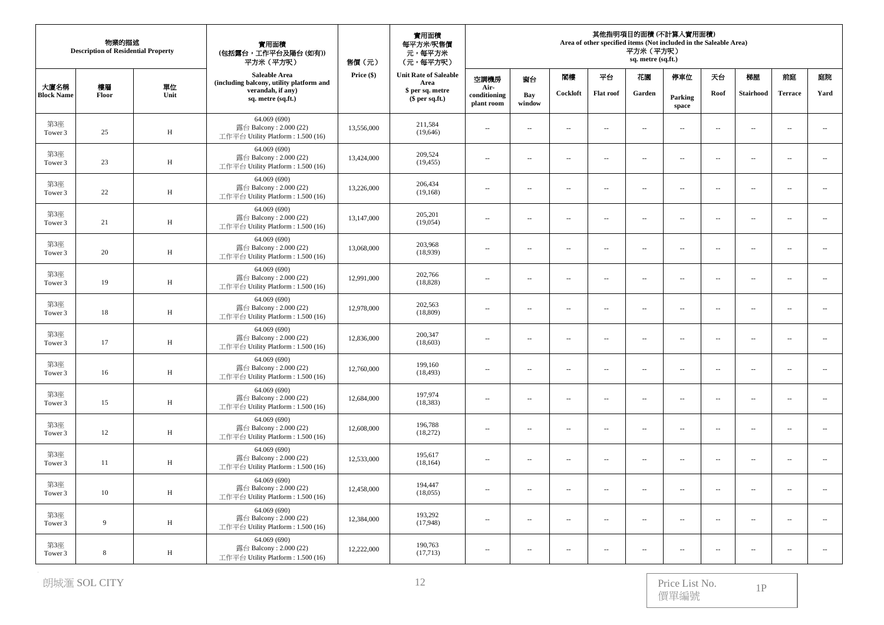| 物業的描述<br><b>Description of Residential Property</b> |             |              | 實用面積<br>(包括露台,工作平台及陽台(如有))<br>平方米 (平方呎)                                      | 售價(元)      | 實用面積<br>每平方米/呎售價<br>元,每平方米<br>(元,每平方呎) | 其他指明項目的面積 (不計算入實用面積)<br>Area of other specified items (Not included in the Saleable Area)<br>平方米 (平方呎)<br>sq. metre (sq.ft.) |                          |                             |                          |                          |                          |                          |                  |                          |                             |
|-----------------------------------------------------|-------------|--------------|------------------------------------------------------------------------------|------------|----------------------------------------|------------------------------------------------------------------------------------------------------------------------------|--------------------------|-----------------------------|--------------------------|--------------------------|--------------------------|--------------------------|------------------|--------------------------|-----------------------------|
|                                                     |             |              | Saleable Area<br>(including balcony, utility platform and                    | Price (\$) | <b>Unit Rate of Saleable</b><br>Area   | 空調機房                                                                                                                         | 窗台                       | 閣樓                          | 平台                       | 花園                       | 停車位                      | 天台                       | 梯屋               | 前庭                       | 庭院                          |
| 大廈名稱<br><b>Block Name</b>                           | 樓層<br>Floor | 單位<br>Unit   | verandah, if any)<br>sq. metre (sq.ft.)                                      |            | \$ per sq. metre<br>$$$ per sq.ft.)    | Air-<br>conditioning<br>plant room                                                                                           | Bay<br>window            | Cockloft                    | <b>Flat roof</b>         | Garden                   | Parking<br>space         | Roof                     | <b>Stairhood</b> | <b>Terrace</b>           | Yard                        |
| 第3座<br>Tower 3                                      | 25          | $\, {\rm H}$ | 64.069 (690)<br>露台 Balcony: 2.000 (22)<br>工作平台 Utility Platform: 1.500 (16)  | 13,556,000 | 211,584<br>(19,646)                    | $\overline{\phantom{a}}$                                                                                                     | $\sim$                   | $\sim$                      | $\sim$                   | $\sim$                   | $\overline{\phantom{a}}$ | $\sim$                   | $\sim$           | $\sim$                   | $\mathcal{L}_{\mathcal{A}}$ |
| 第3座<br>Tower 3                                      | 23          | H            | 64.069 (690)<br>露台 Balcony: 2.000 (22)<br>工作平台 Utility Platform: 1.500 (16)  | 13,424,000 | 209,524<br>(19, 455)                   | $\overline{\phantom{a}}$                                                                                                     | ÷.                       | $\sim$                      | $\overline{\phantom{a}}$ | $\overline{\phantom{a}}$ | $\overline{\phantom{a}}$ | $\sim$                   | $\sim$           | $\sim$                   | $\overline{\phantom{a}}$    |
| 第3座<br>Tower 3                                      | 22          | H            | 64.069 (690)<br>露台 Balcony: 2.000 (22)<br>工作平台 Utility Platform : 1.500 (16) | 13,226,000 | 206,434<br>(19, 168)                   | $\cdots$                                                                                                                     | ÷.                       | $\sim$                      | $\overline{\phantom{a}}$ | $\sim$                   | $\overline{\phantom{a}}$ | $\sim$                   | $\sim$           | $\sim$                   | $\overline{\phantom{a}}$    |
| 第3座<br>Tower 3                                      | 21          | $\, {\rm H}$ | 64.069 (690)<br>露台 Balcony: 2.000 (22)<br>工作平台 Utility Platform: 1.500 (16)  | 13,147,000 | 205,201<br>(19,054)                    | $\overline{\phantom{a}}$                                                                                                     | $\sim$                   | $\overline{a}$              | $\sim$ $-$               | $\sim$                   | $\overline{\phantom{a}}$ | $\sim$                   | $\sim$           | $\overline{a}$           | $\sim$                      |
| 第3座<br>Tower 3                                      | 20          | $\, {\rm H}$ | 64.069 (690)<br>露台 Balcony: 2.000 (22)<br>工作平台 Utility Platform: 1.500 (16)  | 13,068,000 | 203,968<br>(18,939)                    | $\overline{\phantom{a}}$                                                                                                     | $\sim$                   | $\sim$                      | $\overline{\phantom{a}}$ | $\overline{\phantom{a}}$ | $\overline{\phantom{a}}$ | $\sim$                   | $\sim$           | $\overline{\phantom{a}}$ | $\overline{\phantom{a}}$    |
| 第3座<br>Tower 3                                      | 19          | H            | 64.069 (690)<br>露台 Balcony: 2.000 (22)<br>工作平台 Utility Platform: 1.500 (16)  | 12,991,000 | 202,766<br>(18, 828)                   | --                                                                                                                           | $\overline{\phantom{a}}$ | $\overline{a}$              | $\ldots$                 | $\overline{\phantom{a}}$ | $\overline{\phantom{a}}$ | $\overline{\phantom{a}}$ | $\ldots$         |                          | $\overline{\phantom{a}}$    |
| 第3座<br>Tower 3                                      | 18          | H            | 64.069 (690)<br>露台 Balcony: 2.000 (22)<br>工作平台 Utility Platform: 1.500 (16)  | 12,978,000 | 202,563<br>(18, 809)                   | $\overline{\phantom{a}}$                                                                                                     | ÷.                       | $\sim$                      | $\overline{\phantom{a}}$ | $\sim$                   | $\overline{\phantom{a}}$ | $\sim$                   | $\sim$           | $\sim$                   | $\overline{\phantom{a}}$    |
| 第3座<br>Tower 3                                      | 17          | H            | 64.069 (690)<br>露台 Balcony: $2.000(22)$<br>工作平台 Utility Platform: 1.500 (16) | 12,836,000 | 200,347<br>(18,603)                    | $\overline{\phantom{a}}$                                                                                                     | $\sim$                   | $\mathcal{L}_{\mathcal{A}}$ | $\sim$                   | $\overline{\phantom{a}}$ | $\overline{\phantom{a}}$ | $\sim$                   | $\sim$           | $\sim$ $\sim$            | $\ldots$                    |
| 第3座<br>Tower 3                                      | 16          | H            | 64.069 (690)<br>露台 Balcony: 2.000 (22)<br>工作平台 Utility Platform: 1.500 (16)  | 12,760,000 | 199,160<br>(18, 493)                   | $\overline{\phantom{a}}$                                                                                                     | $\sim$                   | $\overline{\phantom{a}}$    | $\sim$                   | $\overline{\phantom{a}}$ | $\overline{\phantom{a}}$ | $\sim$                   | $\sim$           | $\overline{\phantom{a}}$ | $\overline{\phantom{a}}$    |
| 第3座<br>Tower 3                                      | 15          | $\, {\rm H}$ | 64.069 (690)<br>露台 Balcony: 2.000 (22)<br>工作平台 Utility Platform: 1.500 (16)  | 12,684,000 | 197,974<br>(18, 383)                   | $\cdots$                                                                                                                     | $\overline{\phantom{a}}$ | $\overline{a}$              | $\overline{\phantom{m}}$ | $\overline{\phantom{a}}$ | $\overline{\phantom{a}}$ | $\overline{\phantom{a}}$ | $\ldots$         | $\overline{\phantom{a}}$ | $\mathcal{L}_{\mathcal{A}}$ |
| 第3座<br>Tower 3                                      | 12          | $\, {\rm H}$ | 64.069 (690)<br>露台 Balcony: 2.000 (22)<br>工作平台 Utility Platform: 1.500 (16)  | 12,608,000 | 196,788<br>(18,272)                    | $\overline{\phantom{a}}$                                                                                                     | $\overline{\phantom{a}}$ | $\overline{a}$              | $\sim$                   | $\overline{\phantom{a}}$ | $\overline{a}$           | $\overline{\phantom{a}}$ | $\sim$           | $\sim$ $\sim$            | $\overline{\phantom{a}}$    |
| 第3座<br>Tower 3                                      | 11          | H            | 64.069 (690)<br>露台 Balcony: 2.000 (22)<br>工作平台 Utility Platform: 1.500 (16)  | 12,533,000 | 195,617<br>(18, 164)                   | $\overline{\phantom{a}}$                                                                                                     | $\sim$                   | $\overline{\phantom{a}}$    | $\sim$                   | $\overline{\phantom{a}}$ | $\overline{\phantom{a}}$ | $\overline{\phantom{a}}$ | $\sim$           | $\overline{\phantom{a}}$ | $\overline{\phantom{a}}$    |
| 第3座<br>Tower 3                                      | 10          | $\, {\rm H}$ | 64.069 (690)<br>露台 Balcony: 2.000 (22)<br>工作平台 Utility Platform: 1.500 (16)  | 12,458,000 | 194,447<br>(18,055)                    | $\overline{\phantom{a}}$                                                                                                     | ÷.                       | $\sim$                      | $\overline{\phantom{a}}$ | $\overline{\phantom{a}}$ | $\overline{\phantom{a}}$ | $\overline{\phantom{a}}$ | $\ldots$         | $\sim$                   | $\ldots$                    |
| 第3座<br>Tower 3                                      | 9           | $\, {\rm H}$ | 64.069 (690)<br>露台 Balcony: 2.000 (22)<br>工作平台 Utility Platform: 1.500 (16)  | 12,384,000 | 193,292<br>(17,948)                    | $\overline{\phantom{a}}$                                                                                                     | ÷.                       | $\sim$                      | $\overline{\phantom{a}}$ | $\sim$                   | $\overline{\phantom{a}}$ | $\sim$                   | $\sim$           | $\sim$ $\sim$            | $\overline{\phantom{a}}$    |
| 第3座<br>Tower 3                                      | 8           | $\, {\rm H}$ | 64.069 (690)<br>露台 Balcony: $2.000(22)$<br>工作平台 Utility Platform: 1.500 (16) | 12,222,000 | 190,763<br>(17,713)                    | $\overline{\phantom{a}}$                                                                                                     | $\sim$                   | $\sim$                      | $\sim$                   | $\overline{\phantom{a}}$ | $\sim$                   | $\sim$                   | $\sim$           | $\sim$                   | $\sim$                      |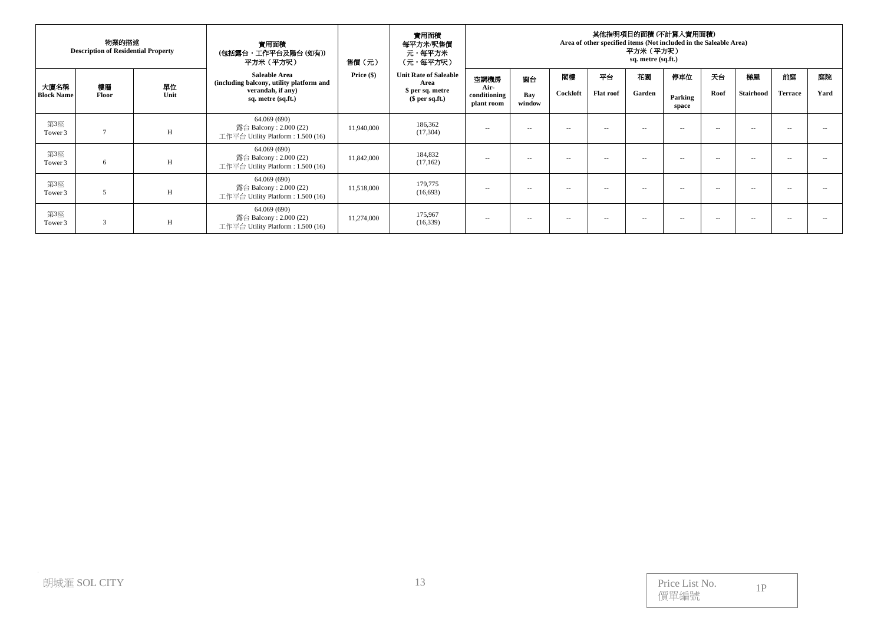| 物業的描述<br><b>Description of Residential Property</b> |               |            | 實用面積<br>(包括露台,工作平台及陽台 (如有))<br>平方米 (平方呎)                                                             | 售價 (元)       | 實用面積<br>每平方米/呎售價<br>元,每平方米<br>(元,每平方呎)                                      | 其他指明項目的面積 (不計算人實用面積)<br>Area of other specified items (Not included in the Saleable Area)<br>平方米(平方呎)<br>sq. metre (sq.ft.) |                     |                |                        |              |                         |                     |                 |                      |            |
|-----------------------------------------------------|---------------|------------|------------------------------------------------------------------------------------------------------|--------------|-----------------------------------------------------------------------------|-----------------------------------------------------------------------------------------------------------------------------|---------------------|----------------|------------------------|--------------|-------------------------|---------------------|-----------------|----------------------|------------|
| 大廈名稱<br><b>Block Name</b>                           | 樓層<br>Floor   | 單位<br>Unit | Saleable Area<br>(including balcony, utility platform and<br>verandah, if any)<br>sq. metre (sq.ft.) | Price $(\$)$ | <b>Unit Rate of Saleable</b><br>Area<br>\$ per sq. metre<br>$$$ per sq.ft.) | 空調機房<br>Air-<br>conditioning<br>plant room                                                                                  | 窗台<br>Bay<br>window | 团模<br>Cockloft | 平台<br><b>Flat roof</b> | 花園<br>Garden | 停車位<br>Parking<br>space | 天台<br>Roof          | 梯屋<br>Stairhood | 前庭<br><b>Terrace</b> | 庭院<br>Yard |
| 第3座<br>Tower 3                                      | $\mathcal{I}$ | H          | 64.069 (690)<br>露台 Balcony: 2.000 (22)<br>工作平台 Utility Platform : 1.500 (16)                         | 11,940,000   | 186,362<br>(17,304)                                                         | $- -$                                                                                                                       | $\sim$              | $- -$          | $- -$                  | $ -$         | $ -$                    | $\sim$              | $\sim$          | $ -$                 | --         |
| 第3座<br>Tower 3                                      | 6             | H          | 64.069 (690)<br>露台 Balcony : 2.000 (22)<br>工作平台 Utility Platform : $1.500(16)$                       | 11,842,000   | 184,832<br>(17,162)                                                         | $-$                                                                                                                         | $\sim$              | $- -$          | $- -$                  | $ -$         | $ -$                    | $\sim$              | $\sim$          | $ -$                 | $\sim$     |
| 第3座<br>Tower 3                                      | 5             | H          | 64.069 (690)<br>露台 Balcony: $2.000(22)$<br>工作平台 Utility Platform : $1.500(16)$                       | 11,518,000   | 179,775<br>(16,693)                                                         | $- -$                                                                                                                       | $\sim$              | $- -$          | $- -$                  | $ -$         | $ -$                    | $\hspace{0.05cm} -$ | $\sim$          | $ -$                 | $\sim$     |
| 第3座<br>Tower 3                                      | 3             | H          | 64.069 (690)<br>露台 Balcony: 2.000 (22)<br>工作平台 Utility Platform : $1.500(16)$                        | 11,274,000   | 175,967<br>(16,339)                                                         | --                                                                                                                          | $\sim$              | $\sim$ $-$     | $\sim$ $-$             | $ -$         | $\sim$ $\sim$           | $\sim$ $\sim$       | $\sim$          | $\sim$ $-$           | $\sim$     |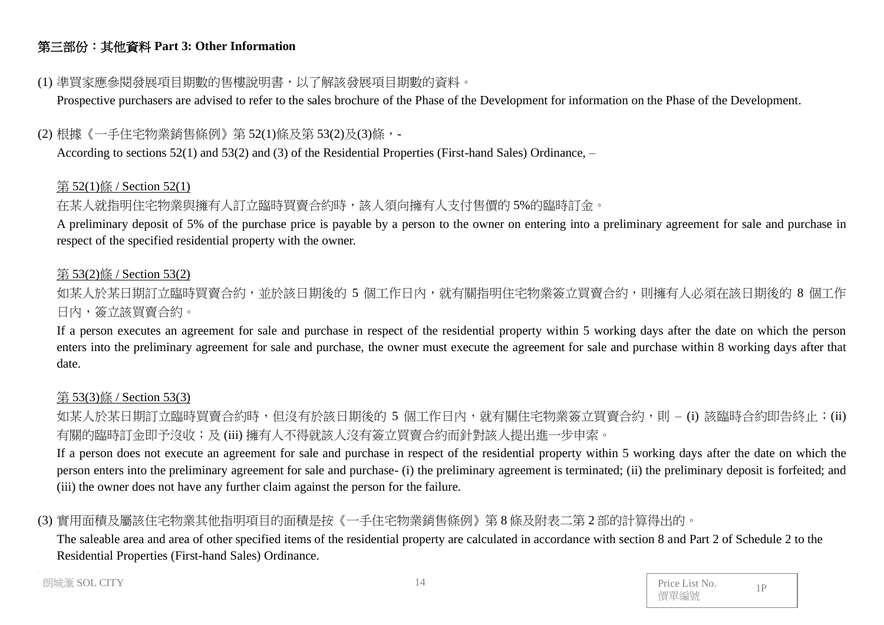# 第三部份:其他資料 **Part 3: Other Information**

# (1) 準買家應參閱發展項目期數的售樓說明書,以了解該發展項目期數的資料。

Prospective purchasers are advised to refer to the sales brochure of the Phase of the Development for information on the Phase of the Development.

# (2) 根據《一手住宅物業銷售條例》第 52(1)條及第 53(2)及(3)條,-

According to sections 52(1) and 53(2) and (3) of the Residential Properties (First-hand Sales) Ordinance, –

### 第 52(1)條 / Section 52(1)

# 在某人就指明住宅物業與擁有人訂立臨時買賣合約時,該人須向擁有人支付售價的 5%的臨時訂金。

A preliminary deposit of 5% of the purchase price is payable by a person to the owner on entering into a preliminary agreement for sale and purchase in respect of the specified residential property with the owner.

### 第 53(2)條 / Section 53(2)

如某人於某日期訂立臨時買賣合約,並於該日期後的 5 個工作日內,就有關指明住宅物業簽立買賣合約,則擁有人必須在該日期後的 8 個工作 日內,簽立該買賣合約。

If a person executes an agreement for sale and purchase in respect of the residential property within 5 working days after the date on which the person enters into the preliminary agreement for sale and purchase, the owner must execute the agreement for sale and purchase within 8 working days after that date.

### 第 53(3)條 / Section 53(3)

如某人於某日期訂立臨時買賣合約時,但沒有於該日期後的 5 個工作日內,就有關住宅物業簽立買賣合約,則 – (i) 該臨時合約即告終止;(ii) 有關的臨時訂金即予沒收;及 (iii) 擁有人不得就該人沒有簽立買賣合約而針對該人提出進一步申索。

If a person does not execute an agreement for sale and purchase in respect of the residential property within 5 working days after the date on which the person enters into the preliminary agreement for sale and purchase- (i) the preliminary agreement is terminated; (ii) the preliminary deposit is forfeited; and (iii) the owner does not have any further claim against the person for the failure.

# (3) 實用面積及屬該住宅物業其他指明項目的面積是按《一手住宅物業銷售條例》第 8 條及附表二第 2 部的計算得出的。

The saleable area and area of other specified items of the residential property are calculated in accordance with section 8 and Part 2 of Schedule 2 to the Residential Properties (First-hand Sales) Ordinance.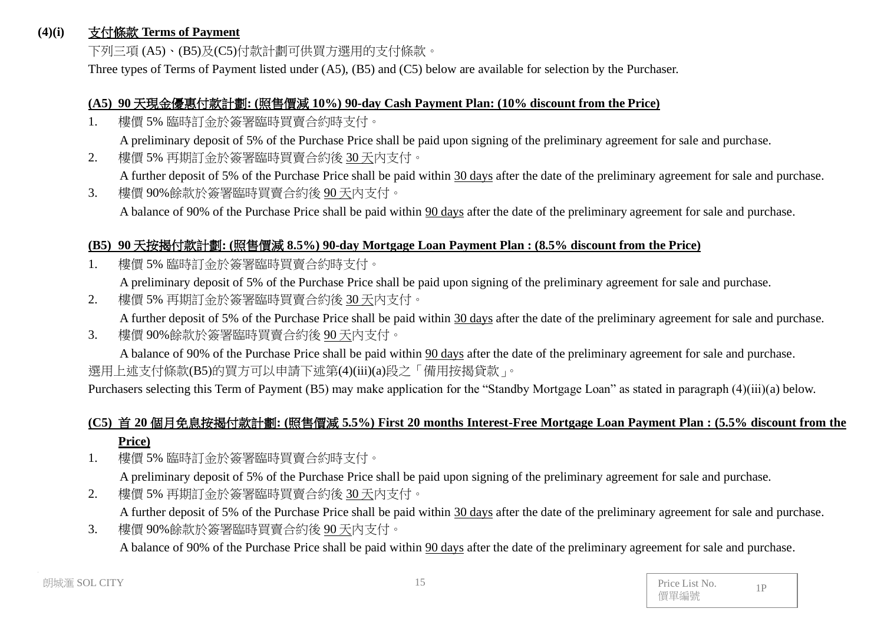#### **(4)(i)** 支付條款 **Terms of Payment**

下列三項 (A5)、(B5)及(C5)付款計劃可供買方選用的支付條款。

Three types of Terms of Payment listed under (A5), (B5) and (C5) below are available for selection by the Purchaser.

#### **(A5) 90** 天現金優惠付款計劃**: (**照售價減 **10%) 90-day Cash Payment Plan: (10% discount from the Price)**

1. 樓價 5% 臨時訂金於簽署臨時買賣合約時支付。

A preliminary deposit of 5% of the Purchase Price shall be paid upon signing of the preliminary agreement for sale and purchase.

2. 樓價 5% 再期訂金於簽署臨時買賣合約後 30 天內支付。

A further deposit of 5% of the Purchase Price shall be paid within 30 days after the date of the preliminary agreement for sale and purchase.

3. 樓價 90%餘款於簽署臨時買賣合約後 90 天內支付。 A balance of 90% of the Purchase Price shall be paid within 90 days after the date of the preliminary agreement for sale and purchase.

### **(B5) 90** 天按揭付款計劃**: (**照售價減 **8.5%) 90-day Mortgage Loan Payment Plan : (8.5% discount from the Price)**

1. 樓價 5% 臨時訂金於簽署臨時買賣合約時支付。

A preliminary deposit of 5% of the Purchase Price shall be paid upon signing of the preliminary agreement for sale and purchase.

- 2. 樓價 5% 再期訂金於簽署臨時買賣合約後 30天內支付。 A further deposit of 5% of the Purchase Price shall be paid within 30 days after the date of the preliminary agreement for sale and purchase.
- 3. 樓價 90%餘款於簽署臨時買賣合約後 90 天內支付。

A balance of 90% of the Purchase Price shall be paid within 90 days after the date of the preliminary agreement for sale and purchase. 選用上述支付條款(B5)的買方可以申請下述第(4)(iii)(a)段之「備用按揭貸款」。

Purchasers selecting this Term of Payment (B5) may make application for the "Standby Mortgage Loan" as stated in paragraph (4)(iii)(a) below.

# **(C5)** 首 **20** 個月免息按揭付款計劃**: (**照售價減 **5.5%) First 20 months Interest-Free Mortgage Loan Payment Plan : (5.5% discount from the Price)**

- 1. 樓價 5% 臨時訂金於簽署臨時買賣合約時支付。 A preliminary deposit of 5% of the Purchase Price shall be paid upon signing of the preliminary agreement for sale and purchase.
- 2. 樓價 5% 再期訂金於簽署臨時買賣合約後 30 天內支付。 A further deposit of 5% of the Purchase Price shall be paid within 30 days after the date of the preliminary agreement for sale and purchase.
- 3. 樓價 90%餘款於簽署臨時買賣合約後 90 天內支付。 A balance of 90% of the Purchase Price shall be paid within 90 days after the date of the preliminary agreement for sale and purchase.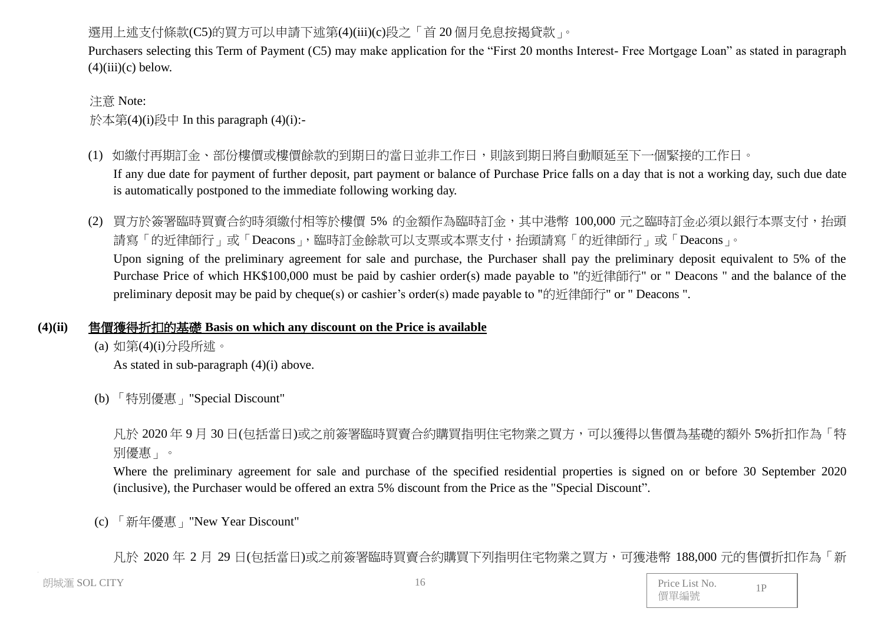# 選用上述支付條款(C5)的買方可以申請下述第(4)(iii)(c)段之「首20個月免息按揭貸款」。

Purchasers selecting this Term of Payment (C5) may make application for the "First 20 months Interest- Free Mortgage Loan" as stated in paragraph  $(4)(iii)(c)$  below.

#### 注意 Note:

於本第(4)(i)段中 In this paragraph (4)(i):-

- (1) 如繳付再期訂金、部份樓價或樓價餘款的到期日的當日並非工作日,則該到期日將自動順延至下一個緊接的工作日。 If any due date for payment of further deposit, part payment or balance of Purchase Price falls on a day that is not a working day, such due date is automatically postponed to the immediate following working day.
- (2) 買方於簽署臨時買賣合約時須繳付相等於樓價 5% 的金額作為臨時訂金,其中港幣 100,000 元之臨時訂金必須以銀行本票支付,抬頭 請寫「的近律師行」或「Deacons」,臨時訂金餘款可以支票或本票支付,抬頭請寫「的近律師行」或「Deacons」。 Upon signing of the preliminary agreement for sale and purchase, the Purchaser shall pay the preliminary deposit equivalent to 5% of the Purchase Price of which HK\$100,000 must be paid by cashier order(s) made payable to "的近律師行" or " Deacons " and the balance of the preliminary deposit may be paid by cheque(s) or cashier's order(s) made payable to "的近律師行" or " Deacons ".

# **(4)(ii)** 售價獲得折扣的基礎 **Basis on which any discount on the Price is available**

(a) 如第(4)(i)分段所述。

As stated in sub-paragraph (4)(i) above.

(b) 「特別優惠」"Special Discount"

凡於 2020 年 9 月 30 日(包括當日)或之前簽署臨時買賣合約購買指明住宅物業之買方,可以獲得以售價為基礎的額外 5%折扣作為「特 別優惠」。

Where the preliminary agreement for sale and purchase of the specified residential properties is signed on or before 30 September 2020 (inclusive), the Purchaser would be offered an extra 5% discount from the Price as the "Special Discount".

(c) 「新年優惠」"New Year Discount"

凡於 2020 年 2 月 29 日(包括當日)或之前簽署臨時買賣合約購買下列指明住宅物業之買方,可獲港幣 188,000 元的售價折扣作為「新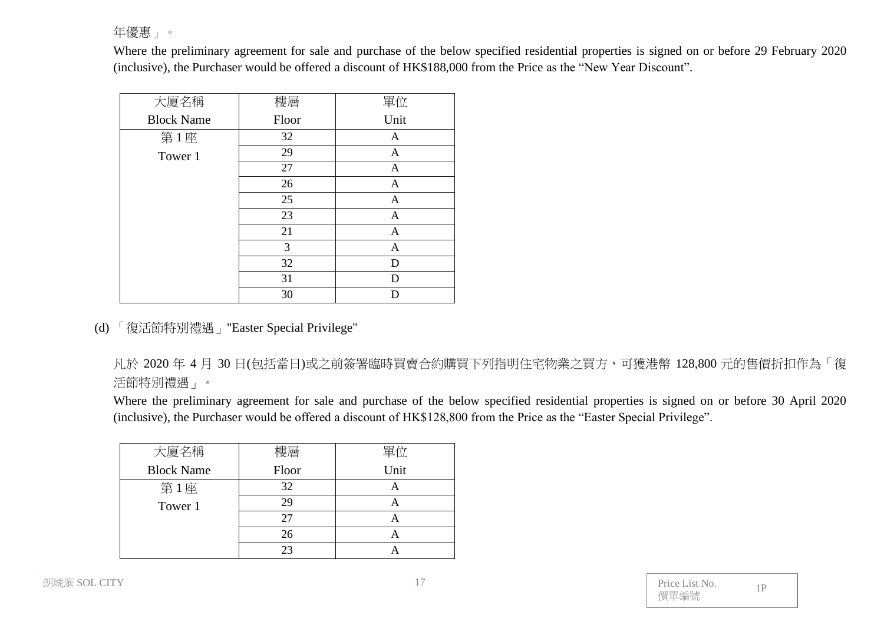年優惠」。

Where the preliminary agreement for sale and purchase of the below specified residential properties is signed on or before 29 February 2020 (inclusive), the Purchaser would be offered a discount of HK\$188,000 from the Price as the "New Year Discount".

| 大廈名稱              | 樓層    | 單位           |
|-------------------|-------|--------------|
| <b>Block Name</b> | Floor | Unit         |
| 第1座               | 32    | A            |
| Tower 1           | 29    | $\mathbf{A}$ |
|                   | 27    | $\mathbf{A}$ |
|                   | 26    | A            |
|                   | 25    | $\mathbf{A}$ |
|                   | 23    | $\mathbf{A}$ |
|                   | 21    | $\mathbf{A}$ |
|                   | 3     | $\mathbf{A}$ |
|                   | 32    | D            |
|                   | 31    | D            |
|                   | 30    |              |

(d) 「復活節特別禮遇」"Easter Special Privilege"

凡於 2020 年 4 月 30 日(包括當日)或之前簽署臨時買賣合約購買下列指明住宅物業之買方,可獲港幣 128,800 元的售價折扣作為「復 活節特別禮遇」。

Where the preliminary agreement for sale and purchase of the below specified residential properties is signed on or before 30 April 2020 (inclusive), the Purchaser would be offered a discount of HK\$128,800 from the Price as the "Easter Special Privilege".

| 大廈名稱              | 樓層    | 單位   |
|-------------------|-------|------|
| <b>Block Name</b> | Floor | Unit |
| 第1座               | 32    |      |
| Tower 1           | 29    |      |
|                   | 27    |      |
|                   | 26    |      |
|                   | つっ    |      |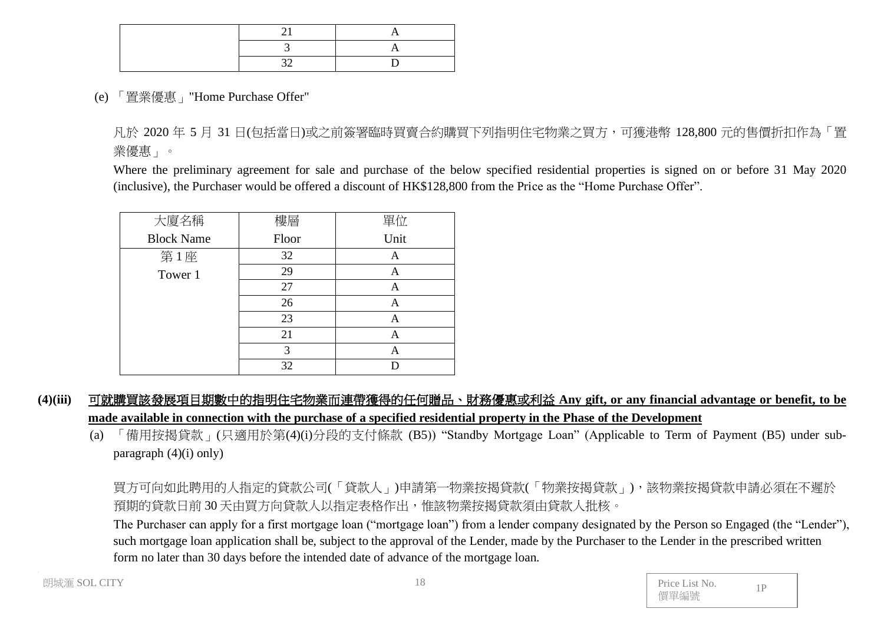(e) 「置業優惠」"Home Purchase Offer"

凡於 2020 年 5 月 31 日(包括當日)或之前簽署臨時買賣合約購買下列指明住宅物業之買方,可獲港幣 128,800 元的售價折扣作為「置 業優惠」。

Where the preliminary agreement for sale and purchase of the below specified residential properties is signed on or before 31 May 2020 (inclusive), the Purchaser would be offered a discount of HK\$128,800 from the Price as the "Home Purchase Offer".

| 大廈名稱              | 樓層            | 單位   |
|-------------------|---------------|------|
| <b>Block Name</b> | Floor         | Unit |
| 第1座               | 32            | A    |
| Tower 1           | 29            | А    |
|                   | 27            | A    |
|                   | 26            |      |
|                   | 23            | А    |
|                   | 21            | А    |
|                   | $\mathcal{R}$ | Α    |
|                   | 32            |      |

- **(4)(iii)** 可就購買該發展項目期數中的指明住宅物業而連帶獲得的任何贈品、財務優惠或利益 **Any gift, or any financial advantage or benefit, to be made available in connection with the purchase of a specified residential property in the Phase of the Development**
	- (a) 「備用按揭貸款」(只適用於第(4)(i)分段的支付條款 (B5)) "Standby Mortgage Loan" (Applicable to Term of Payment (B5) under subparagraph  $(4)(i)$  only)

買方可向如此聘用的人指定的貸款公司(「貸款人」)申請第一物業按揭貸款(「物業按揭貸款」),該物業按揭貸款申請必須在不遲於 預期的貸款日前 30 天由買方向貸款人以指定表格作出,惟該物業按揭貸款須由貸款人批核。

The Purchaser can apply for a first mortgage loan ("mortgage loan") from a lender company designated by the Person so Engaged (the "Lender"), such mortgage loan application shall be, subject to the approval of the Lender, made by the Purchaser to the Lender in the prescribed written form no later than 30 days before the intended date of advance of the mortgage loan.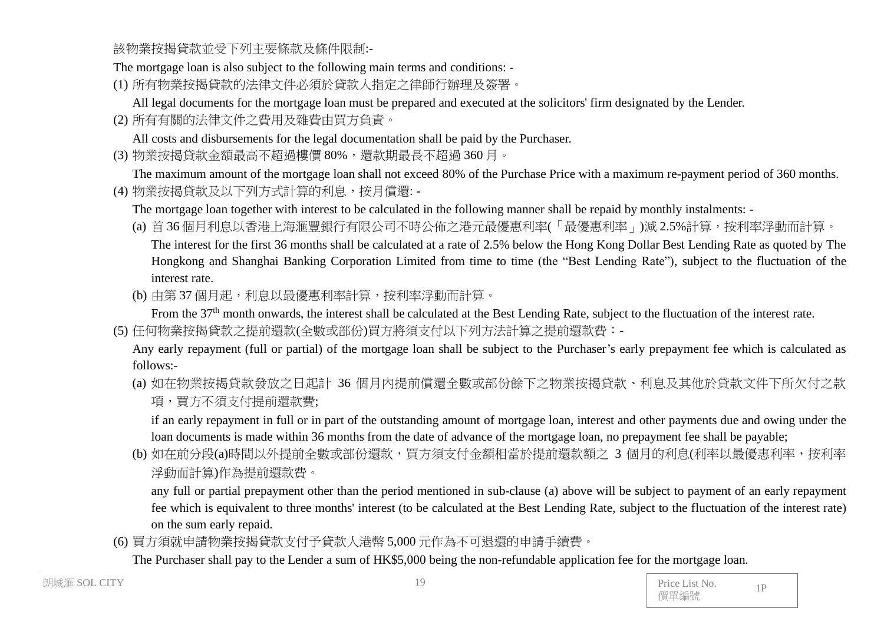該物業按揭貸款並受下列主要條款及條件限制:-

The mortgage loan is also subject to the following main terms and conditions: -

(1) 所有物業按揭貸款的法律文件必須於貸款人指定之律師行辦理及簽署。

All legal documents for the mortgage loan must be prepared and executed at the solicitors' firm designated by the Lender.

(2) 所有有關的法律文件之費用及雜費由買方負責。

All costs and disbursements for the legal documentation shall be paid by the Purchaser.

(3) 物業按揭貸款金額最高不超過樓價 80%,還款期最長不超過 360 月。

The maximum amount of the mortgage loan shall not exceed 80% of the Purchase Price with a maximum re-payment period of 360 months. (4) 物業按揭貸款及以下列方式計算的利息,按月償還: -

The mortgage loan together with interest to be calculated in the following manner shall be repaid by monthly instalments: -

(a) 首 36 個月利息以香港上海滙豐銀行有限公司不時公佈之港元最優惠利率(「最優惠利率」)減 2.5%計算, 按利率浮動而計算。 The interest for the first 36 months shall be calculated at a rate of 2.5% below the Hong Kong Dollar Best Lending Rate as quoted by The Hongkong and Shanghai Banking Corporation Limited from time to time (the "Best Lending Rate"), subject to the fluctuation of the

interest rate.

(b) 由第 37 個月起,利息以最優惠利率計算,按利率浮動而計算。

From the 37<sup>th</sup> month onwards, the interest shall be calculated at the Best Lending Rate, subject to the fluctuation of the interest rate. (5) 任何物業按揭貸款之提前還款(全數或部份)買方將須支付以下列方法計算之提前還款費:-

Any early repayment (full or partial) of the mortgage loan shall be subject to the Purchaser's early prepayment fee which is calculated as follows:-

(a) 如在物業按揭貸款發放之日起計 36 個月內提前償還全數或部份餘下之物業按揭貸款、利息及其他於貸款文件下所欠付之款 項,買方不須支付提前還款費;

if an early repayment in full or in part of the outstanding amount of mortgage loan, interest and other payments due and owing under the loan documents is made within 36 months from the date of advance of the mortgage loan, no prepayment fee shall be payable;

(b) 如在前分段(a)時間以外提前全數或部份還款,買方須支付金額相當於提前還款額之 3 個月的利息(利率以最優惠利率,按利率 浮動而計算)作為提前還款費。

any full or partial prepayment other than the period mentioned in sub-clause (a) above will be subject to payment of an early repayment fee which is equivalent to three months' interest (to be calculated at the Best Lending Rate, subject to the fluctuation of the interest rate) on the sum early repaid.

(6) 買方須就申請物業按揭貸款支付予貸款人港幣 5,000 元作為不可退還的申請手續費。

The Purchaser shall pay to the Lender a sum of HK\$5,000 being the non-refundable application fee for the mortgage loan.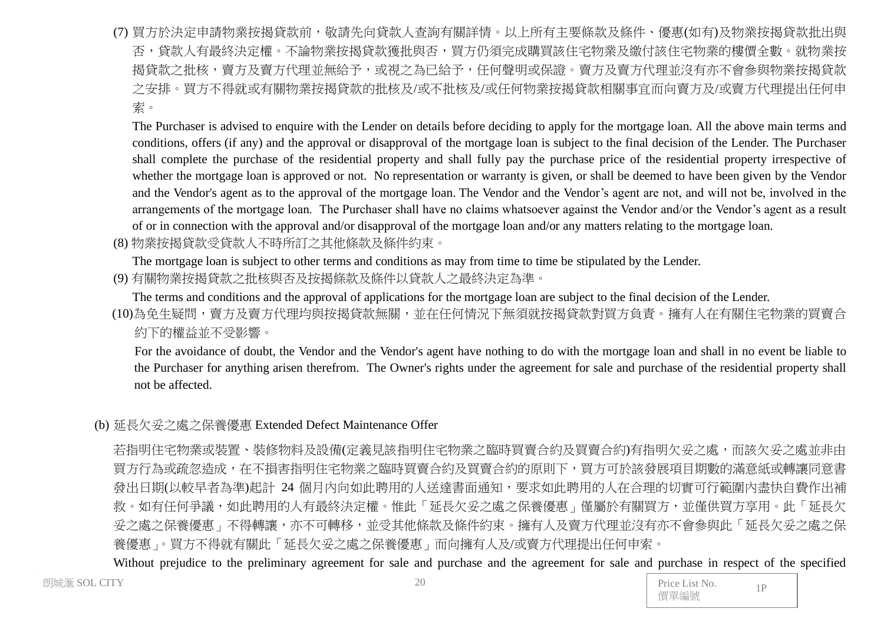(7) 買方於決定申請物業按揭貸款前,敬請先向貸款人查詢有關詳情。以上所有主要條款及條件、優惠(如有)及物業按揭貸款批出與 否,貸款人有最終決定權。不論物業按揭貸款獲批與否,買方仍須完成購買該住宅物業及繳付該住宅物業的樓價全數。就物業按 揭貸款之批核,賣方及賣方代理並無給予,或視之為已給予,任何聲明或保證。賣方及賣方代理並沒有亦不會參與物業按揭貸款 之安排。買方不得就或有關物業按揭貸款的批核及/或不批核及/或任何物業按揭貸款相關事宜而向賣方及/或賣方代理提出任何申 索。

The Purchaser is advised to enquire with the Lender on details before deciding to apply for the mortgage loan. All the above main terms and conditions, offers (if any) and the approval or disapproval of the mortgage loan is subject to the final decision of the Lender. The Purchaser shall complete the purchase of the residential property and shall fully pay the purchase price of the residential property irrespective of whether the mortgage loan is approved or not. No representation or warranty is given, or shall be deemed to have been given by the Vendor and the Vendor's agent as to the approval of the mortgage loan. The Vendor and the Vendor's agent are not, and will not be, involved in the arrangements of the mortgage loan. The Purchaser shall have no claims whatsoever against the Vendor and/or the Vendor's agent as a result of or in connection with the approval and/or disapproval of the mortgage loan and/or any matters relating to the mortgage loan.

(8) 物業按揭貸款受貸款人不時所訂之其他條款及條件約束。

The mortgage loan is subject to other terms and conditions as may from time to time be stipulated by the Lender.

(9) 有關物業按揭貸款之批核與否及按揭條款及條件以貸款人之最終決定為準。

The terms and conditions and the approval of applications for the mortgage loan are subject to the final decision of the Lender.

(10)為免生疑問,賣方及賣方代理均與按揭貸款無關,並在任何情況下無須就按揭貸款對買方負責。擁有人在有關住宅物業的買賣合 約下的權益並不受影響。

For the avoidance of doubt, the Vendor and the Vendor's agent have nothing to do with the mortgage loan and shall in no event be liable to the Purchaser for anything arisen therefrom. The Owner's rights under the agreement for sale and purchase of the residential property shall not be affected.

# (b) 延長欠妥之處之保養優惠 Extended Defect Maintenance Offer

若指明住宅物業或裝置、裝修物料及設備(定義見該指明住宅物業之臨時買賣合約及買賣合約)有指明欠妥之處,而該欠妥之處並非由 買方行為或疏忽造成,在不損害指明住宅物業之臨時買賣合約及買賣合約的原則下,買方可於該發展項目期數的滿意紙或轉讓同意書 發出日期(以較早者為準)起計 24 個月內向如此聘用的人送達書面通知,要求如此聘用的人在合理的切實可行範圍內盡快自費作出補 救。如有任何爭議,如此聘用的人有最終決定權。惟此「延長欠妥之處之保養優惠」僅屬於有關買方,並僅供買方享用。此「延長欠 妥之處之保養優惠」不得轉讓,亦不可轉移,並受其他條款及條件約束。擁有人及賣方代理並沒有亦不會參與此「延長欠妥之處之保 養優惠」。買方不得就有關此「延長欠妥之處之保養優惠」而向擁有人及/或賣方代理提出任何申索。

Without prejudice to the preliminary agreement for sale and purchase and the agreement for sale and purchase in respect of the specified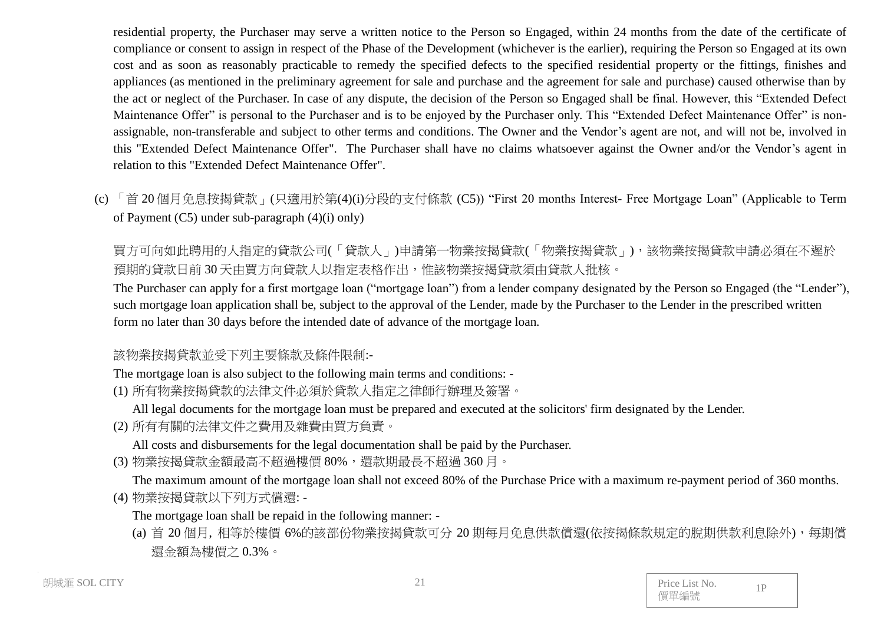residential property, the Purchaser may serve a written notice to the Person so Engaged, within 24 months from the date of the certificate of compliance or consent to assign in respect of the Phase of the Development (whichever is the earlier), requiring the Person so Engaged at its own cost and as soon as reasonably practicable to remedy the specified defects to the specified residential property or the fittings, finishes and appliances (as mentioned in the preliminary agreement for sale and purchase and the agreement for sale and purchase) caused otherwise than by the act or neglect of the Purchaser. In case of any dispute, the decision of the Person so Engaged shall be final. However, this "Extended Defect Maintenance Offer" is personal to the Purchaser and is to be enjoyed by the Purchaser only. This "Extended Defect Maintenance Offer" is nonassignable, non-transferable and subject to other terms and conditions. The Owner and the Vendor's agent are not, and will not be, involved in this "Extended Defect Maintenance Offer". The Purchaser shall have no claims whatsoever against the Owner and/or the Vendor's agent in relation to this "Extended Defect Maintenance Offer".

(c) 「首 20 個月免息按揭貸款」(只適用於第(4)(i)分段的支付條款 (C5)) "First 20 months Interest- Free Mortgage Loan" (Applicable to Term of Payment (C5) under sub-paragraph (4)(i) only)

買方可向如此聘用的人指定的貸款公司(「貸款人」)申請第一物業按揭貸款(「物業按揭貸款」),該物業按揭貸款申請必須在不遲於 預期的貸款日前 30 天由買方向貸款人以指定表格作出,惟該物業按揭貸款須由貸款人批核。

The Purchaser can apply for a first mortgage loan ("mortgage loan") from a lender company designated by the Person so Engaged (the "Lender"), such mortgage loan application shall be, subject to the approval of the Lender, made by the Purchaser to the Lender in the prescribed written form no later than 30 days before the intended date of advance of the mortgage loan.

# 該物業按揭貸款並受下列主要條款及條件限制:-

The mortgage loan is also subject to the following main terms and conditions: -

- (1) 所有物業按揭貸款的法律文件必須於貸款人指定之律師行辦理及簽署。
	- All legal documents for the mortgage loan must be prepared and executed at the solicitors' firm designated by the Lender.
- (2) 所有有關的法律文件之費用及雜費由買方負責。

All costs and disbursements for the legal documentation shall be paid by the Purchaser.

(3) 物業按揭貸款金額最高不超過樓價 80%,還款期最長不超過 360 月。

The maximum amount of the mortgage loan shall not exceed 80% of the Purchase Price with a maximum re-payment period of 360 months. (4) 物業按揭貸款以下列方式償還: -

The mortgage loan shall be repaid in the following manner: -

(a) 首 20 個月, 相等於樓價 6%的該部份物業按揭貸款可分 20 期每月免息供款償還(依按揭條款規定的脫期供款利息除外),每期償 還金額為樓價之 0.3%。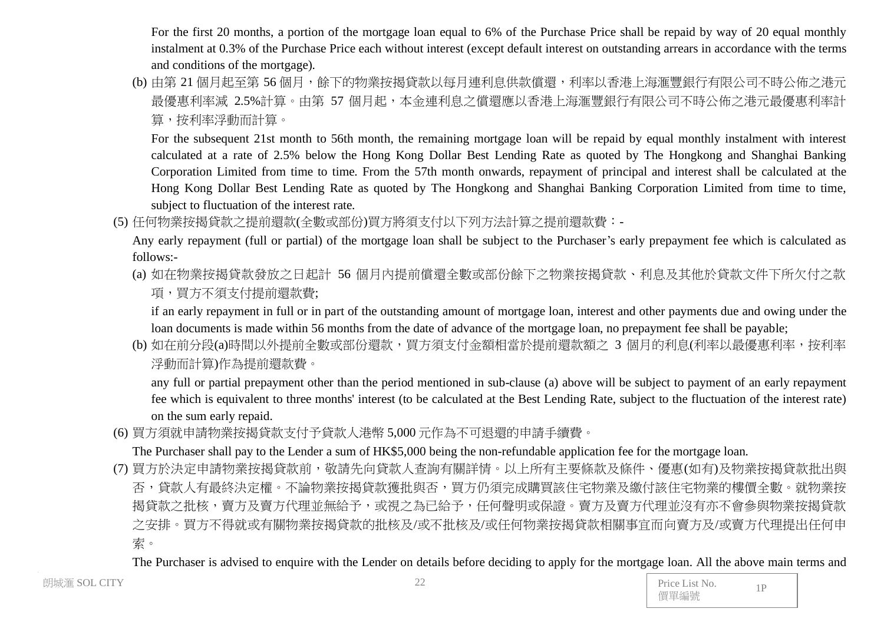For the first 20 months, a portion of the mortgage loan equal to 6% of the Purchase Price shall be repaid by way of 20 equal monthly instalment at 0.3% of the Purchase Price each without interest (except default interest on outstanding arrears in accordance with the terms and conditions of the mortgage).

(b) 由第 21 個月起至第 56 個月,餘下的物業按揭貸款以每月連利息供款償還,利率以香港上海滙豐銀行有限公司不時公佈之港元 最優惠利率減 2.5%計算。由第 57 個月起,本金連利息之償還應以香港上海滙豐銀行有限公司不時公佈之港元最優惠利率計 算,按利率浮動而計算。

For the subsequent 21st month to 56th month, the remaining mortgage loan will be repaid by equal monthly instalment with interest calculated at a rate of 2.5% below the Hong Kong Dollar Best Lending Rate as quoted by The Hongkong and Shanghai Banking Corporation Limited from time to time. From the 57th month onwards, repayment of principal and interest shall be calculated at the Hong Kong Dollar Best Lending Rate as quoted by The Hongkong and Shanghai Banking Corporation Limited from time to time, subject to fluctuation of the interest rate.

(5) 任何物業按揭貸款之提前還款(全數或部份)買方將須支付以下列方法計算之提前還款費:-

Any early repayment (full or partial) of the mortgage loan shall be subject to the Purchaser's early prepayment fee which is calculated as follows:-

(a) 如在物業按揭貸款發放之日起計 56 個月內提前償還全數或部份餘下之物業按揭貸款、利息及其他於貸款文件下所欠付之款 項,買方不須支付提前還款費;

if an early repayment in full or in part of the outstanding amount of mortgage loan, interest and other payments due and owing under the loan documents is made within 56 months from the date of advance of the mortgage loan, no prepayment fee shall be payable;

(b) 如在前分段(a)時間以外提前全數或部份還款,買方須支付金額相當於提前還款額之 3 個月的利息(利率以最優惠利率,按利率 浮動而計算)作為提前還款費。

any full or partial prepayment other than the period mentioned in sub-clause (a) above will be subject to payment of an early repayment fee which is equivalent to three months' interest (to be calculated at the Best Lending Rate, subject to the fluctuation of the interest rate) on the sum early repaid.

(6) 買方須就申請物業按揭貸款支付予貸款人港幣 5,000 元作為不可退還的申請手續費。

The Purchaser shall pay to the Lender a sum of HK\$5,000 being the non-refundable application fee for the mortgage loan.

(7) 買方於決定申請物業按揭貸款前,敬請先向貸款人查詢有關詳情。以上所有主要條款及條件、優惠(如有)及物業按揭貸款批出與 否,貸款人有最終決定權。不論物業按揭貸款獲批與否,買方仍須完成購買該住宅物業及繳付該住宅物業的樓價全數。就物業按 揭貸款之批核,賣方及賣方代理並無給予,或視之為已給予,任何聲明或保證。賣方及賣方代理並沒有亦不會參與物業按揭貸款 之安排。買方不得就或有關物業按揭貸款的批核及/或不批核及/或任何物業按揭貸款相關事宜而向賣方及/或賣方代理提出任何申 索。

The Purchaser is advised to enquire with the Lender on details before deciding to apply for the mortgage loan. All the above main terms and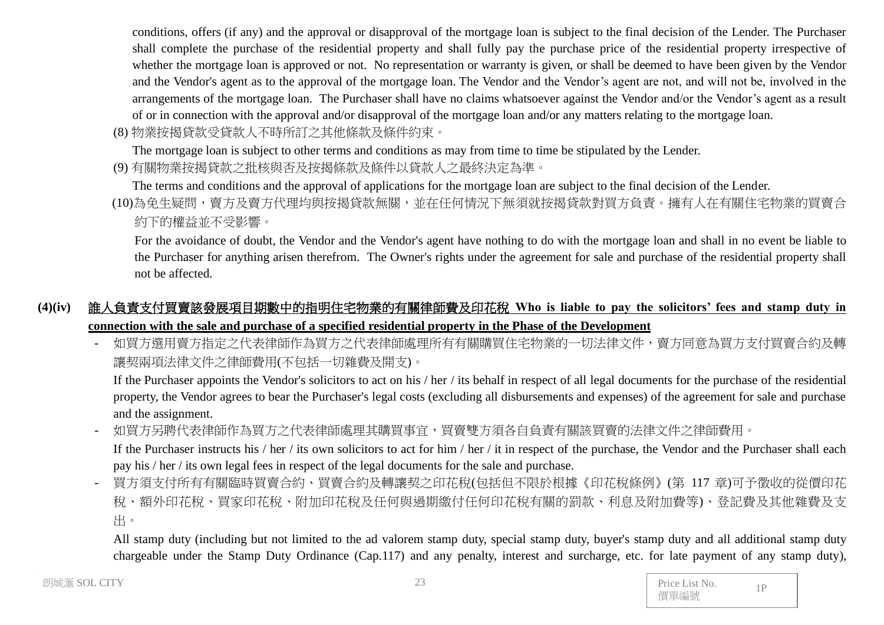conditions, offers (if any) and the approval or disapproval of the mortgage loan is subject to the final decision of the Lender. The Purchaser shall complete the purchase of the residential property and shall fully pay the purchase price of the residential property irrespective of whether the mortgage loan is approved or not. No representation or warranty is given, or shall be deemed to have been given by the Vendor and the Vendor's agent as to the approval of the mortgage loan. The Vendor and the Vendor's agent are not, and will not be, involved in the arrangements of the mortgage loan. The Purchaser shall have no claims whatsoever against the Vendor and/or the Vendor's agent as a result of or in connection with the approval and/or disapproval of the mortgage loan and/or any matters relating to the mortgage loan.

(8) 物業按揭貸款受貸款人不時所訂之其他條款及條件約束。

The mortgage loan is subject to other terms and conditions as may from time to time be stipulated by the Lender.

(9) 有關物業按揭貸款之批核與否及按揭條款及條件以貸款人之最終決定為準。

The terms and conditions and the approval of applications for the mortgage loan are subject to the final decision of the Lender.

(10)為免生疑問,賣方及賣方代理均與按揭貸款無關,並在任何情況下無須就按揭貸款對買方負責。擁有人在有關住宅物業的買賣合 約下的權益並不受影響。

For the avoidance of doubt, the Vendor and the Vendor's agent have nothing to do with the mortgage loan and shall in no event be liable to the Purchaser for anything arisen therefrom. The Owner's rights under the agreement for sale and purchase of the residential property shall not be affected.

# **(4)(iv)** 誰人負責支付買賣該發展項目期數中的指明住宅物業的有關律師費及印花稅 **Who is liable to pay the solicitors' fees and stamp duty in connection with the sale and purchase of a specified residential property in the Phase of the Development**

如買方選用賣方指定之代表律師處理所有有關購買住宅物業的一切法律文件,賣方同意為買方支付買賣合約及轉 讓契兩項法律文件之律師費用(不包括一切雜費及開支)。

If the Purchaser appoints the Vendor's solicitors to act on his / her / its behalf in respect of all legal documents for the purchase of the residential property, the Vendor agrees to bear the Purchaser's legal costs (excluding all disbursements and expenses) of the agreement for sale and purchase and the assignment.

如買方另聘代表律師作為買方之代表律師處理其購買事宜,買賣雙方須各自負責有關該買賣的法律文件之律師費用。

If the Purchaser instructs his / her / its own solicitors to act for him / her / it in respect of the purchase, the Vendor and the Purchaser shall each pay his / her / its own legal fees in respect of the legal documents for the sale and purchase.

- 買方須支付所有有關臨時買賣合約、買賣合約及轉讓契之印花稅(包括但不限於根據《印花稅條例》(第 117 章)可予徵收的從價印花 稅、額外印花稅、買家印花稅、附加印花稅及任何與過期繳付任何印花稅有關的罰款、利息及附加費等)、登記費及其他雜費及支 出。

All stamp duty (including but not limited to the ad valorem stamp duty, special stamp duty, buyer's stamp duty and all additional stamp duty chargeable under the Stamp Duty Ordinance (Cap.117) and any penalty, interest and surcharge, etc. for late payment of any stamp duty),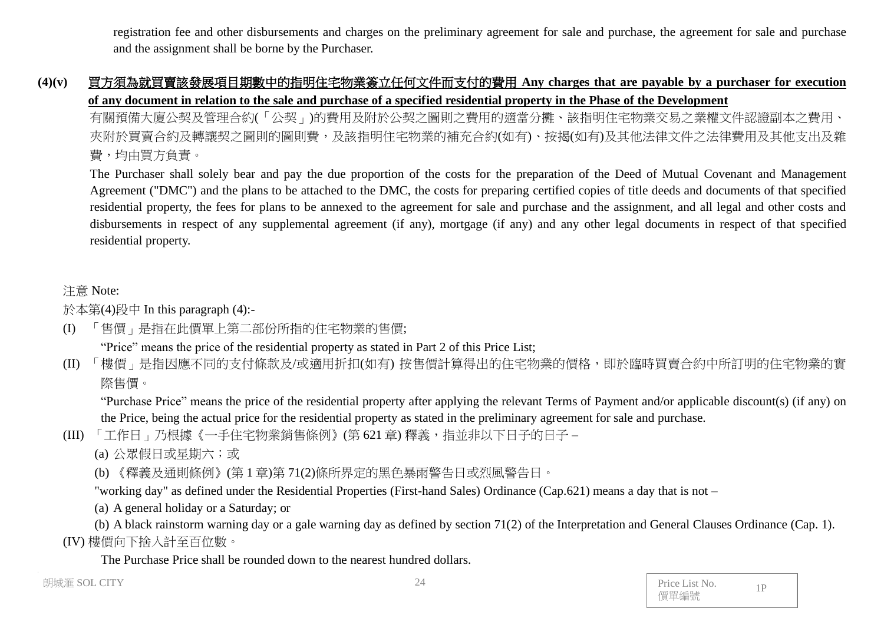registration fee and other disbursements and charges on the preliminary agreement for sale and purchase, the agreement for sale and purchase and the assignment shall be borne by the Purchaser.

# **(4)(v)** 買方須為就買賣該發展項目期數中的指明住宅物業簽立任何文件而支付的費用 **Any charges that are payable by a purchaser for execution of any document in relation to the sale and purchase of a specified residential property in the Phase of the Development**

有關預備大廈公契及管理合約(「公契」)的費用及附於公契之圖則之費用的適當分攤、該指明住宅物業交易之業權文件認證副本之費用、 夾附於買賣合約及轉讓契之圖則的圖則費,及該指明住宅物業的補充合約(如有)、按揭(如有)及其他法律文件之法律費用及其他支出及雜 費,均由買方負責。

The Purchaser shall solely bear and pay the due proportion of the costs for the preparation of the Deed of Mutual Covenant and Management Agreement ("DMC") and the plans to be attached to the DMC, the costs for preparing certified copies of title deeds and documents of that specified residential property, the fees for plans to be annexed to the agreement for sale and purchase and the assignment, and all legal and other costs and disbursements in respect of any supplemental agreement (if any), mortgage (if any) and any other legal documents in respect of that specified residential property.

# 注意 Note:

於本第(4)段中 In this paragraph (4):-

(I) 「售價」是指在此價單上第二部份所指的住宅物業的售價;

"Price" means the price of the residential property as stated in Part 2 of this Price List;

(II) 「樓價」是指因應不同的支付條款及/或適用折扣(如有) 按售價計算得出的住宅物業的價格,即於臨時買賣合約中所訂明的住宅物業的實 際售價。

"Purchase Price" means the price of the residential property after applying the relevant Terms of Payment and/or applicable discount(s) (if any) on the Price, being the actual price for the residential property as stated in the preliminary agreement for sale and purchase.

(III) 「工作日」乃根據《一手住宅物業銷售條例》(第621章) 釋義, 指並非以下日子的日子 –

(a) 公眾假日或星期六;或

(b) 《釋義及通則條例》(第 1 章)第 71(2)條所界定的黑色暴雨警告日或烈風警告日。

"working day" as defined under the Residential Properties (First-hand Sales) Ordinance (Cap.621) means a day that is not –

(a) A general holiday or a Saturday; or

(b) A black rainstorm warning day or a gale warning day as defined by section 71(2) of the Interpretation and General Clauses Ordinance (Cap. 1). (IV) 樓價向下捨入計至百位數。

The Purchase Price shall be rounded down to the nearest hundred dollars.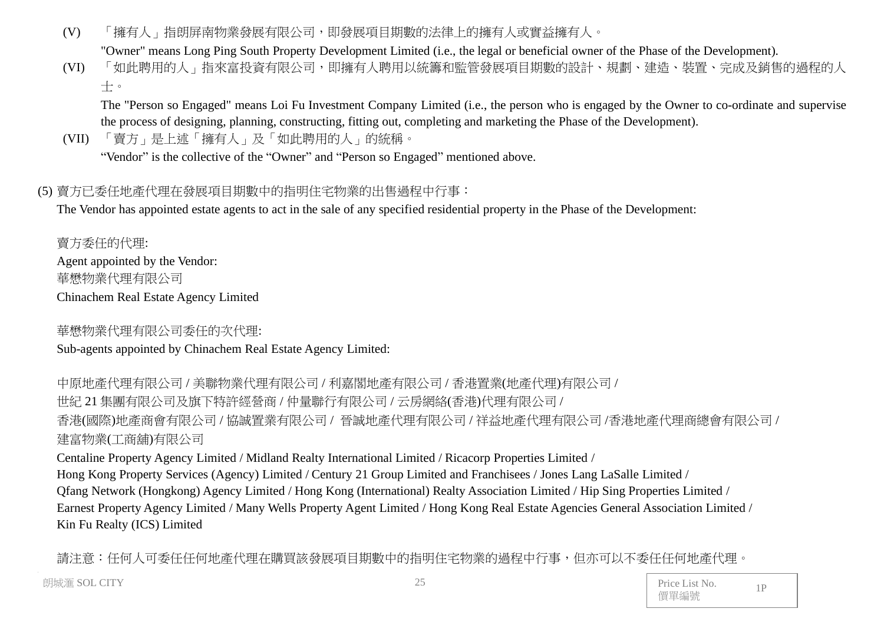(V) 「擁有人」指朗屏南物業發展有限公司,即發展項目期數的法律上的擁有人或實益擁有人。

"Owner" means Long Ping South Property Development Limited (i.e., the legal or beneficial owner of the Phase of the Development).

(VI) 「如此聘用的人」指來富投資有限公司,即擁有人聘用以統籌和監管發展項目期數的設計、規劃、建造、裝置、完成及銷售的過程的人 士。

The "Person so Engaged" means Loi Fu Investment Company Limited (i.e., the person who is engaged by the Owner to co-ordinate and supervise the process of designing, planning, constructing, fitting out, completing and marketing the Phase of the Development).

(VII) 「賣方」是上述「擁有人」及「如此聘用的人」的統稱。

"Vendor" is the collective of the "Owner" and "Person so Engaged" mentioned above.

# (5) 賣方已委任地產代理在發展項目期數中的指明住宅物業的出售過程中行事:

The Vendor has appointed estate agents to act in the sale of any specified residential property in the Phase of the Development:

賣方委任的代理: Agent appointed by the Vendor: 華懋物業代理有限公司 Chinachem Real Estate Agency Limited

華懋物業代理有限公司委任的次代理:

Sub-agents appointed by Chinachem Real Estate Agency Limited:

中原地產代理有限公司 / 美聯物業代理有限公司 / 利嘉閣地產有限公司 / 香港置業(地產代理)有限公司 / 世紀 21 集團有限公司及旗下特許經營商 / 仲量聯行有限公司 / 云房網絡(香港)代理有限公司 / 香港(國際)地產商會有限公司 / 協誠置業有限公司 / 晉誠地產代理有限公司 / 祥益地產代理有限公司 /香港地產代理商總會有限公司 / 建富物業(工商舖)有限公司

Centaline Property Agency Limited / Midland Realty International Limited / Ricacorp Properties Limited / Hong Kong Property Services (Agency) Limited / Century 21 Group Limited and Franchisees / Jones Lang LaSalle Limited / Qfang Network (Hongkong) Agency Limited / Hong Kong (International) Realty Association Limited / Hip Sing Properties Limited / Earnest Property Agency Limited / Many Wells Property Agent Limited / Hong Kong Real Estate Agencies General Association Limited / Kin Fu Realty (ICS) Limited

請注意:任何人可委任任何地產代理在購買該發展項目期數中的指明住宅物業的過程中行事,但亦可以不委任任何地產代理。